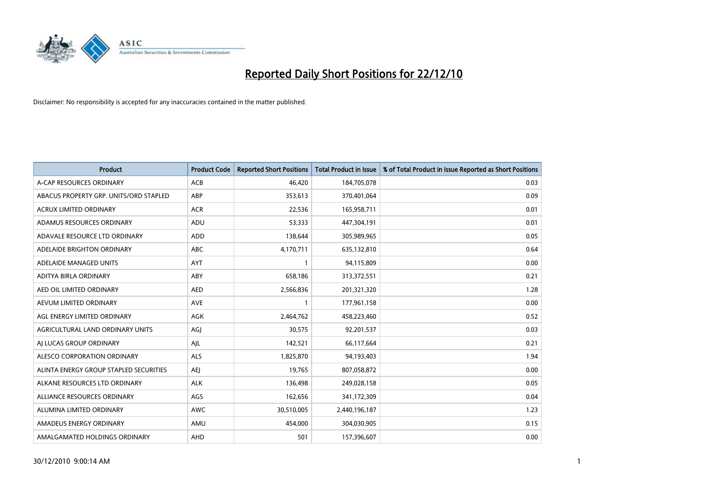

| Product                                | <b>Product Code</b> | <b>Reported Short Positions</b> | <b>Total Product in Issue</b> | % of Total Product in Issue Reported as Short Positions |
|----------------------------------------|---------------------|---------------------------------|-------------------------------|---------------------------------------------------------|
| A-CAP RESOURCES ORDINARY               | ACB                 | 46,420                          | 184,705,078                   | 0.03                                                    |
| ABACUS PROPERTY GRP. UNITS/ORD STAPLED | ABP                 | 353,613                         | 370,401,064                   | 0.09                                                    |
| <b>ACRUX LIMITED ORDINARY</b>          | <b>ACR</b>          | 22,536                          | 165,958,711                   | 0.01                                                    |
| ADAMUS RESOURCES ORDINARY              | ADU                 | 53,333                          | 447,304,191                   | 0.01                                                    |
| ADAVALE RESOURCE LTD ORDINARY          | <b>ADD</b>          | 138,644                         | 305,989,965                   | 0.05                                                    |
| ADELAIDE BRIGHTON ORDINARY             | <b>ABC</b>          | 4,170,711                       | 635,132,810                   | 0.64                                                    |
| ADELAIDE MANAGED UNITS                 | <b>AYT</b>          | $\mathbf{1}$                    | 94,115,809                    | 0.00                                                    |
| ADITYA BIRLA ORDINARY                  | ABY                 | 658,186                         | 313,372,551                   | 0.21                                                    |
| AED OIL LIMITED ORDINARY               | <b>AED</b>          | 2,566,836                       | 201,321,320                   | 1.28                                                    |
| AEVUM LIMITED ORDINARY                 | <b>AVE</b>          | 1                               | 177,961,158                   | 0.00                                                    |
| AGL ENERGY LIMITED ORDINARY            | <b>AGK</b>          | 2,464,762                       | 458,223,460                   | 0.52                                                    |
| AGRICULTURAL LAND ORDINARY UNITS       | AGJ                 | 30,575                          | 92,201,537                    | 0.03                                                    |
| AI LUCAS GROUP ORDINARY                | AJL                 | 142,521                         | 66,117,664                    | 0.21                                                    |
| ALESCO CORPORATION ORDINARY            | <b>ALS</b>          | 1,825,870                       | 94,193,403                    | 1.94                                                    |
| ALINTA ENERGY GROUP STAPLED SECURITIES | AEJ                 | 19,765                          | 807,058,872                   | 0.00                                                    |
| ALKANE RESOURCES LTD ORDINARY          | <b>ALK</b>          | 136,498                         | 249,028,158                   | 0.05                                                    |
| ALLIANCE RESOURCES ORDINARY            | AGS                 | 162,656                         | 341,172,309                   | 0.04                                                    |
| ALUMINA LIMITED ORDINARY               | <b>AWC</b>          | 30,510,005                      | 2,440,196,187                 | 1.23                                                    |
| AMADEUS ENERGY ORDINARY                | AMU                 | 454,000                         | 304,030,905                   | 0.15                                                    |
| AMALGAMATED HOLDINGS ORDINARY          | AHD                 | 501                             | 157,396,607                   | 0.00                                                    |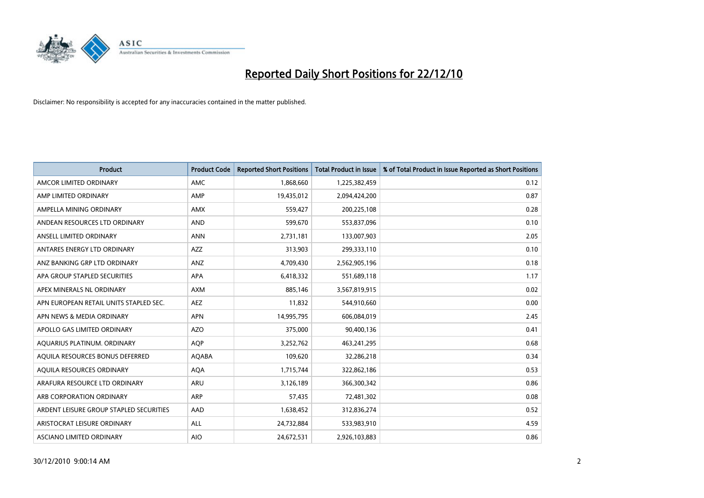

| <b>Product</b>                          | <b>Product Code</b> | <b>Reported Short Positions</b> | <b>Total Product in Issue</b> | % of Total Product in Issue Reported as Short Positions |
|-----------------------------------------|---------------------|---------------------------------|-------------------------------|---------------------------------------------------------|
| AMCOR LIMITED ORDINARY                  | AMC                 | 1,868,660                       | 1,225,382,459                 | 0.12                                                    |
| AMP LIMITED ORDINARY                    | AMP                 | 19,435,012                      | 2,094,424,200                 | 0.87                                                    |
| AMPELLA MINING ORDINARY                 | <b>AMX</b>          | 559,427                         | 200,225,108                   | 0.28                                                    |
| ANDEAN RESOURCES LTD ORDINARY           | <b>AND</b>          | 599,670                         | 553,837,096                   | 0.10                                                    |
| ANSELL LIMITED ORDINARY                 | <b>ANN</b>          | 2,731,181                       | 133,007,903                   | 2.05                                                    |
| ANTARES ENERGY LTD ORDINARY             | <b>AZZ</b>          | 313,903                         | 299,333,110                   | 0.10                                                    |
| ANZ BANKING GRP LTD ORDINARY            | ANZ                 | 4,709,430                       | 2,562,905,196                 | 0.18                                                    |
| APA GROUP STAPLED SECURITIES            | <b>APA</b>          | 6,418,332                       | 551,689,118                   | 1.17                                                    |
| APEX MINERALS NL ORDINARY               | <b>AXM</b>          | 885,146                         | 3,567,819,915                 | 0.02                                                    |
| APN EUROPEAN RETAIL UNITS STAPLED SEC.  | <b>AEZ</b>          | 11,832                          | 544,910,660                   | 0.00                                                    |
| APN NEWS & MEDIA ORDINARY               | <b>APN</b>          | 14,995,795                      | 606,084,019                   | 2.45                                                    |
| APOLLO GAS LIMITED ORDINARY             | <b>AZO</b>          | 375,000                         | 90,400,136                    | 0.41                                                    |
| AQUARIUS PLATINUM. ORDINARY             | <b>AQP</b>          | 3,252,762                       | 463,241,295                   | 0.68                                                    |
| AQUILA RESOURCES BONUS DEFERRED         | <b>AQABA</b>        | 109,620                         | 32,286,218                    | 0.34                                                    |
| AQUILA RESOURCES ORDINARY               | <b>AQA</b>          | 1,715,744                       | 322,862,186                   | 0.53                                                    |
| ARAFURA RESOURCE LTD ORDINARY           | <b>ARU</b>          | 3,126,189                       | 366,300,342                   | 0.86                                                    |
| ARB CORPORATION ORDINARY                | <b>ARP</b>          | 57,435                          | 72,481,302                    | 0.08                                                    |
| ARDENT LEISURE GROUP STAPLED SECURITIES | AAD                 | 1,638,452                       | 312,836,274                   | 0.52                                                    |
| ARISTOCRAT LEISURE ORDINARY             | ALL                 | 24,732,884                      | 533,983,910                   | 4.59                                                    |
| ASCIANO LIMITED ORDINARY                | <b>AIO</b>          | 24,672,531                      | 2,926,103,883                 | 0.86                                                    |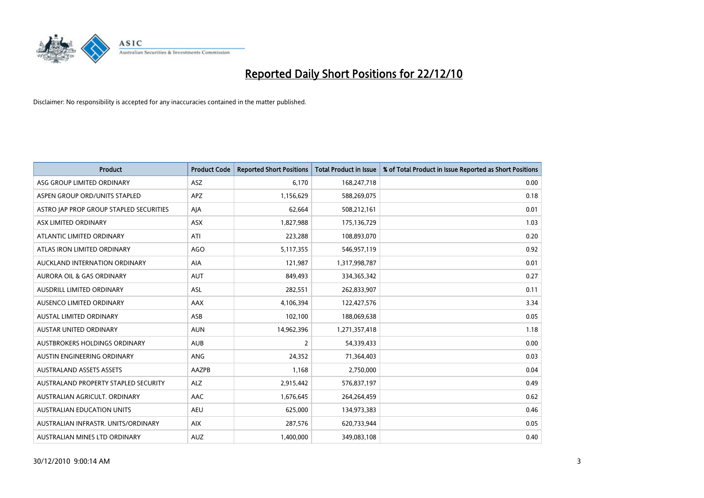

| Product                                 | <b>Product Code</b> | <b>Reported Short Positions</b> | <b>Total Product in Issue</b> | % of Total Product in Issue Reported as Short Positions |
|-----------------------------------------|---------------------|---------------------------------|-------------------------------|---------------------------------------------------------|
| ASG GROUP LIMITED ORDINARY              | <b>ASZ</b>          | 6,170                           | 168,247,718                   | 0.00                                                    |
| ASPEN GROUP ORD/UNITS STAPLED           | APZ                 | 1,156,629                       | 588,269,075                   | 0.18                                                    |
| ASTRO JAP PROP GROUP STAPLED SECURITIES | AJA                 | 62,664                          | 508,212,161                   | 0.01                                                    |
| ASX LIMITED ORDINARY                    | <b>ASX</b>          | 1,827,988                       | 175,136,729                   | 1.03                                                    |
| ATLANTIC LIMITED ORDINARY               | ATI                 | 223,288                         | 108,893,070                   | 0.20                                                    |
| ATLAS IRON LIMITED ORDINARY             | <b>AGO</b>          | 5,117,355                       | 546,957,119                   | 0.92                                                    |
| AUCKLAND INTERNATION ORDINARY           | <b>AIA</b>          | 121,987                         | 1,317,998,787                 | 0.01                                                    |
| AURORA OIL & GAS ORDINARY               | <b>AUT</b>          | 849,493                         | 334,365,342                   | 0.27                                                    |
| AUSDRILL LIMITED ORDINARY               | ASL                 | 282,551                         | 262,833,907                   | 0.11                                                    |
| AUSENCO LIMITED ORDINARY                | AAX                 | 4,106,394                       | 122,427,576                   | 3.34                                                    |
| AUSTAL LIMITED ORDINARY                 | ASB                 | 102,100                         | 188,069,638                   | 0.05                                                    |
| <b>AUSTAR UNITED ORDINARY</b>           | <b>AUN</b>          | 14,962,396                      | 1,271,357,418                 | 1.18                                                    |
| AUSTBROKERS HOLDINGS ORDINARY           | <b>AUB</b>          | $\overline{2}$                  | 54,339,433                    | 0.00                                                    |
| AUSTIN ENGINEERING ORDINARY             | ANG                 | 24,352                          | 71,364,403                    | 0.03                                                    |
| <b>AUSTRALAND ASSETS ASSETS</b>         | AAZPB               | 1,168                           | 2,750,000                     | 0.04                                                    |
| AUSTRALAND PROPERTY STAPLED SECURITY    | <b>ALZ</b>          | 2,915,442                       | 576,837,197                   | 0.49                                                    |
| AUSTRALIAN AGRICULT, ORDINARY           | AAC                 | 1,676,645                       | 264,264,459                   | 0.62                                                    |
| <b>AUSTRALIAN EDUCATION UNITS</b>       | <b>AEU</b>          | 625,000                         | 134,973,383                   | 0.46                                                    |
| AUSTRALIAN INFRASTR, UNITS/ORDINARY     | <b>AIX</b>          | 287,576                         | 620,733,944                   | 0.05                                                    |
| AUSTRALIAN MINES LTD ORDINARY           | <b>AUZ</b>          | 1,400,000                       | 349,083,108                   | 0.40                                                    |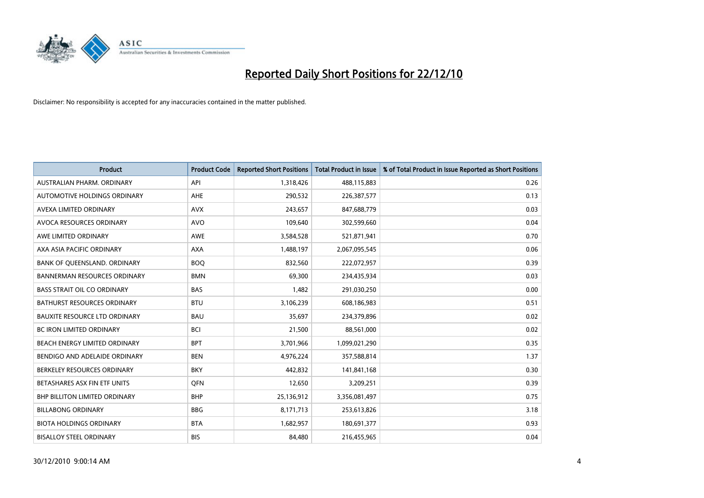

| <b>Product</b>                       | <b>Product Code</b> | <b>Reported Short Positions</b> | <b>Total Product in Issue</b> | % of Total Product in Issue Reported as Short Positions |
|--------------------------------------|---------------------|---------------------------------|-------------------------------|---------------------------------------------------------|
| AUSTRALIAN PHARM, ORDINARY           | API                 | 1,318,426                       | 488,115,883                   | 0.26                                                    |
| AUTOMOTIVE HOLDINGS ORDINARY         | AHE                 | 290,532                         | 226,387,577                   | 0.13                                                    |
| AVEXA LIMITED ORDINARY               | <b>AVX</b>          | 243,657                         | 847,688,779                   | 0.03                                                    |
| AVOCA RESOURCES ORDINARY             | <b>AVO</b>          | 109,640                         | 302,599,660                   | 0.04                                                    |
| AWE LIMITED ORDINARY                 | <b>AWE</b>          | 3,584,528                       | 521,871,941                   | 0.70                                                    |
| AXA ASIA PACIFIC ORDINARY            | <b>AXA</b>          | 1,488,197                       | 2,067,095,545                 | 0.06                                                    |
| BANK OF QUEENSLAND. ORDINARY         | <b>BOQ</b>          | 832,560                         | 222,072,957                   | 0.39                                                    |
| <b>BANNERMAN RESOURCES ORDINARY</b>  | <b>BMN</b>          | 69,300                          | 234,435,934                   | 0.03                                                    |
| <b>BASS STRAIT OIL CO ORDINARY</b>   | <b>BAS</b>          | 1,482                           | 291,030,250                   | 0.00                                                    |
| <b>BATHURST RESOURCES ORDINARY</b>   | <b>BTU</b>          | 3,106,239                       | 608,186,983                   | 0.51                                                    |
| <b>BAUXITE RESOURCE LTD ORDINARY</b> | <b>BAU</b>          | 35,697                          | 234,379,896                   | 0.02                                                    |
| <b>BC IRON LIMITED ORDINARY</b>      | <b>BCI</b>          | 21,500                          | 88,561,000                    | 0.02                                                    |
| BEACH ENERGY LIMITED ORDINARY        | <b>BPT</b>          | 3,701,966                       | 1,099,021,290                 | 0.35                                                    |
| BENDIGO AND ADELAIDE ORDINARY        | <b>BEN</b>          | 4,976,224                       | 357,588,814                   | 1.37                                                    |
| BERKELEY RESOURCES ORDINARY          | <b>BKY</b>          | 442,832                         | 141,841,168                   | 0.30                                                    |
| BETASHARES ASX FIN ETF UNITS         | <b>OFN</b>          | 12,650                          | 3,209,251                     | 0.39                                                    |
| <b>BHP BILLITON LIMITED ORDINARY</b> | <b>BHP</b>          | 25,136,912                      | 3,356,081,497                 | 0.75                                                    |
| <b>BILLABONG ORDINARY</b>            | <b>BBG</b>          | 8,171,713                       | 253,613,826                   | 3.18                                                    |
| <b>BIOTA HOLDINGS ORDINARY</b>       | <b>BTA</b>          | 1,682,957                       | 180,691,377                   | 0.93                                                    |
| <b>BISALLOY STEEL ORDINARY</b>       | <b>BIS</b>          | 84,480                          | 216,455,965                   | 0.04                                                    |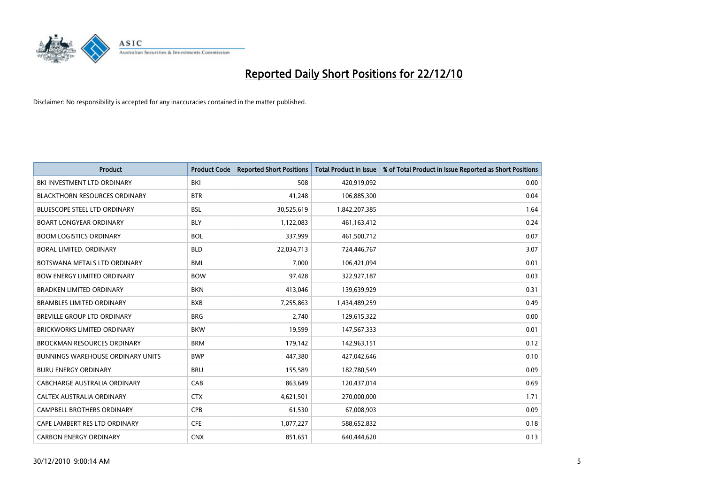

| Product                                  | <b>Product Code</b> | <b>Reported Short Positions</b> | <b>Total Product in Issue</b> | % of Total Product in Issue Reported as Short Positions |
|------------------------------------------|---------------------|---------------------------------|-------------------------------|---------------------------------------------------------|
| BKI INVESTMENT LTD ORDINARY              | <b>BKI</b>          | 508                             | 420,919,092                   | 0.00                                                    |
| <b>BLACKTHORN RESOURCES ORDINARY</b>     | <b>BTR</b>          | 41,248                          | 106,885,300                   | 0.04                                                    |
| <b>BLUESCOPE STEEL LTD ORDINARY</b>      | <b>BSL</b>          | 30,525,619                      | 1,842,207,385                 | 1.64                                                    |
| <b>BOART LONGYEAR ORDINARY</b>           | <b>BLY</b>          | 1,122,083                       | 461,163,412                   | 0.24                                                    |
| <b>BOOM LOGISTICS ORDINARY</b>           | <b>BOL</b>          | 337,999                         | 461,500,712                   | 0.07                                                    |
| BORAL LIMITED. ORDINARY                  | <b>BLD</b>          | 22,034,713                      | 724,446,767                   | 3.07                                                    |
| BOTSWANA METALS LTD ORDINARY             | <b>BML</b>          | 7,000                           | 106,421,094                   | 0.01                                                    |
| <b>BOW ENERGY LIMITED ORDINARY</b>       | <b>BOW</b>          | 97,428                          | 322,927,187                   | 0.03                                                    |
| <b>BRADKEN LIMITED ORDINARY</b>          | <b>BKN</b>          | 413,046                         | 139,639,929                   | 0.31                                                    |
| <b>BRAMBLES LIMITED ORDINARY</b>         | <b>BXB</b>          | 7,255,863                       | 1,434,489,259                 | 0.49                                                    |
| BREVILLE GROUP LTD ORDINARY              | <b>BRG</b>          | 2,740                           | 129,615,322                   | 0.00                                                    |
| <b>BRICKWORKS LIMITED ORDINARY</b>       | <b>BKW</b>          | 19,599                          | 147,567,333                   | 0.01                                                    |
| <b>BROCKMAN RESOURCES ORDINARY</b>       | <b>BRM</b>          | 179,142                         | 142,963,151                   | 0.12                                                    |
| <b>BUNNINGS WAREHOUSE ORDINARY UNITS</b> | <b>BWP</b>          | 447,380                         | 427,042,646                   | 0.10                                                    |
| <b>BURU ENERGY ORDINARY</b>              | <b>BRU</b>          | 155,589                         | 182,780,549                   | 0.09                                                    |
| CABCHARGE AUSTRALIA ORDINARY             | CAB                 | 863,649                         | 120,437,014                   | 0.69                                                    |
| CALTEX AUSTRALIA ORDINARY                | <b>CTX</b>          | 4,621,501                       | 270,000,000                   | 1.71                                                    |
| CAMPBELL BROTHERS ORDINARY               | <b>CPB</b>          | 61,530                          | 67,008,903                    | 0.09                                                    |
| CAPE LAMBERT RES LTD ORDINARY            | <b>CFE</b>          | 1,077,227                       | 588,652,832                   | 0.18                                                    |
| <b>CARBON ENERGY ORDINARY</b>            | <b>CNX</b>          | 851,651                         | 640,444,620                   | 0.13                                                    |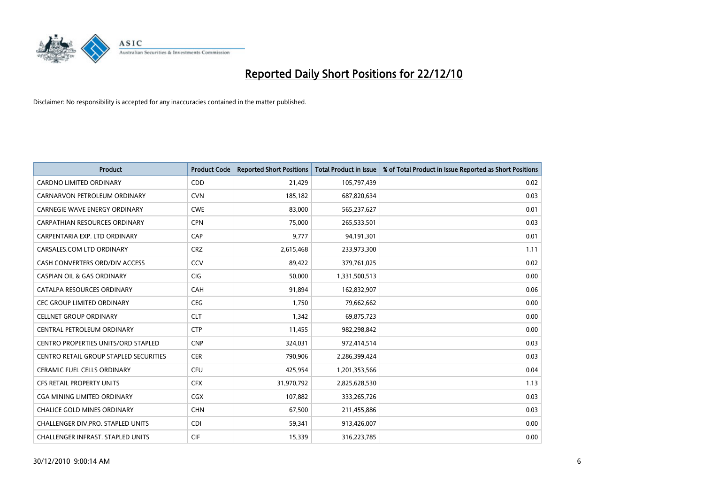

| <b>Product</b>                                | <b>Product Code</b> | <b>Reported Short Positions</b> | <b>Total Product in Issue</b> | % of Total Product in Issue Reported as Short Positions |
|-----------------------------------------------|---------------------|---------------------------------|-------------------------------|---------------------------------------------------------|
| <b>CARDNO LIMITED ORDINARY</b>                | CDD                 | 21,429                          | 105,797,439                   | 0.02                                                    |
| CARNARVON PETROLEUM ORDINARY                  | <b>CVN</b>          | 185,182                         | 687,820,634                   | 0.03                                                    |
| CARNEGIE WAVE ENERGY ORDINARY                 | <b>CWE</b>          | 83,000                          | 565,237,627                   | 0.01                                                    |
| <b>CARPATHIAN RESOURCES ORDINARY</b>          | <b>CPN</b>          | 75,000                          | 265,533,501                   | 0.03                                                    |
| CARPENTARIA EXP. LTD ORDINARY                 | CAP                 | 9,777                           | 94,191,301                    | 0.01                                                    |
| CARSALES.COM LTD ORDINARY                     | <b>CRZ</b>          | 2,615,468                       | 233,973,300                   | 1.11                                                    |
| CASH CONVERTERS ORD/DIV ACCESS                | CCV                 | 89,422                          | 379,761,025                   | 0.02                                                    |
| <b>CASPIAN OIL &amp; GAS ORDINARY</b>         | CIG                 | 50,000                          | 1,331,500,513                 | 0.00                                                    |
| CATALPA RESOURCES ORDINARY                    | CAH                 | 91,894                          | 162,832,907                   | 0.06                                                    |
| <b>CEC GROUP LIMITED ORDINARY</b>             | <b>CEG</b>          | 1,750                           | 79,662,662                    | 0.00                                                    |
| <b>CELLNET GROUP ORDINARY</b>                 | <b>CLT</b>          | 1,342                           | 69,875,723                    | 0.00                                                    |
| CENTRAL PETROLEUM ORDINARY                    | <b>CTP</b>          | 11,455                          | 982,298,842                   | 0.00                                                    |
| <b>CENTRO PROPERTIES UNITS/ORD STAPLED</b>    | <b>CNP</b>          | 324,031                         | 972,414,514                   | 0.03                                                    |
| <b>CENTRO RETAIL GROUP STAPLED SECURITIES</b> | <b>CER</b>          | 790,906                         | 2,286,399,424                 | 0.03                                                    |
| <b>CERAMIC FUEL CELLS ORDINARY</b>            | <b>CFU</b>          | 425,954                         | 1,201,353,566                 | 0.04                                                    |
| <b>CFS RETAIL PROPERTY UNITS</b>              | <b>CFX</b>          | 31,970,792                      | 2,825,628,530                 | 1.13                                                    |
| CGA MINING LIMITED ORDINARY                   | CGX                 | 107,882                         | 333,265,726                   | 0.03                                                    |
| <b>CHALICE GOLD MINES ORDINARY</b>            | <b>CHN</b>          | 67,500                          | 211,455,886                   | 0.03                                                    |
| CHALLENGER DIV.PRO. STAPLED UNITS             | <b>CDI</b>          | 59,341                          | 913,426,007                   | 0.00                                                    |
| CHALLENGER INFRAST. STAPLED UNITS             | CIF                 | 15,339                          | 316,223,785                   | 0.00                                                    |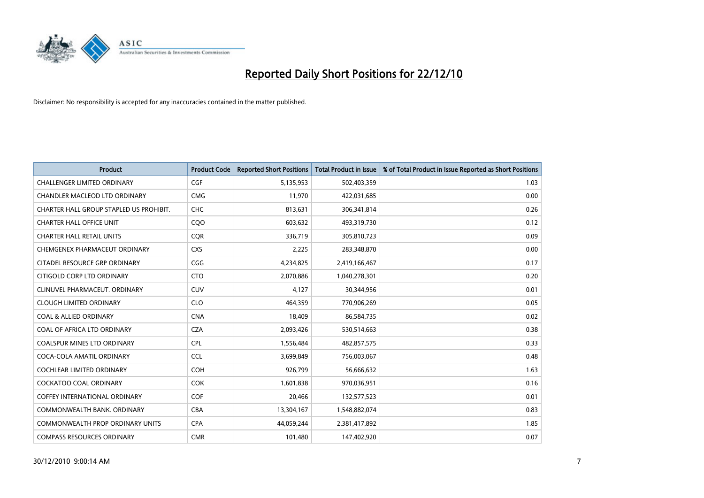

| <b>Product</b>                          | <b>Product Code</b> | <b>Reported Short Positions</b> | <b>Total Product in Issue</b> | % of Total Product in Issue Reported as Short Positions |
|-----------------------------------------|---------------------|---------------------------------|-------------------------------|---------------------------------------------------------|
| <b>CHALLENGER LIMITED ORDINARY</b>      | <b>CGF</b>          | 5,135,953                       | 502,403,359                   | 1.03                                                    |
| CHANDLER MACLEOD LTD ORDINARY           | <b>CMG</b>          | 11,970                          | 422,031,685                   | 0.00                                                    |
| CHARTER HALL GROUP STAPLED US PROHIBIT. | <b>CHC</b>          | 813,631                         | 306,341,814                   | 0.26                                                    |
| <b>CHARTER HALL OFFICE UNIT</b>         | CQO                 | 603,632                         | 493,319,730                   | 0.12                                                    |
| <b>CHARTER HALL RETAIL UNITS</b>        | <b>COR</b>          | 336,719                         | 305,810,723                   | 0.09                                                    |
| CHEMGENEX PHARMACEUT ORDINARY           | <b>CXS</b>          | 2,225                           | 283,348,870                   | 0.00                                                    |
| CITADEL RESOURCE GRP ORDINARY           | CGG                 | 4,234,825                       | 2,419,166,467                 | 0.17                                                    |
| CITIGOLD CORP LTD ORDINARY              | <b>CTO</b>          | 2,070,886                       | 1,040,278,301                 | 0.20                                                    |
| CLINUVEL PHARMACEUT, ORDINARY           | <b>CUV</b>          | 4.127                           | 30,344,956                    | 0.01                                                    |
| <b>CLOUGH LIMITED ORDINARY</b>          | <b>CLO</b>          | 464,359                         | 770,906,269                   | 0.05                                                    |
| <b>COAL &amp; ALLIED ORDINARY</b>       | <b>CNA</b>          | 18,409                          | 86,584,735                    | 0.02                                                    |
| COAL OF AFRICA LTD ORDINARY             | <b>CZA</b>          | 2,093,426                       | 530,514,663                   | 0.38                                                    |
| COALSPUR MINES LTD ORDINARY             | <b>CPL</b>          | 1,556,484                       | 482,857,575                   | 0.33                                                    |
| COCA-COLA AMATIL ORDINARY               | <b>CCL</b>          | 3,699,849                       | 756,003,067                   | 0.48                                                    |
| <b>COCHLEAR LIMITED ORDINARY</b>        | <b>COH</b>          | 926,799                         | 56,666,632                    | 1.63                                                    |
| COCKATOO COAL ORDINARY                  | <b>COK</b>          | 1,601,838                       | 970,036,951                   | 0.16                                                    |
| COFFEY INTERNATIONAL ORDINARY           | <b>COF</b>          | 20,466                          | 132,577,523                   | 0.01                                                    |
| COMMONWEALTH BANK, ORDINARY             | <b>CBA</b>          | 13,304,167                      | 1,548,882,074                 | 0.83                                                    |
| <b>COMMONWEALTH PROP ORDINARY UNITS</b> | <b>CPA</b>          | 44,059,244                      | 2,381,417,892                 | 1.85                                                    |
| <b>COMPASS RESOURCES ORDINARY</b>       | <b>CMR</b>          | 101,480                         | 147,402,920                   | 0.07                                                    |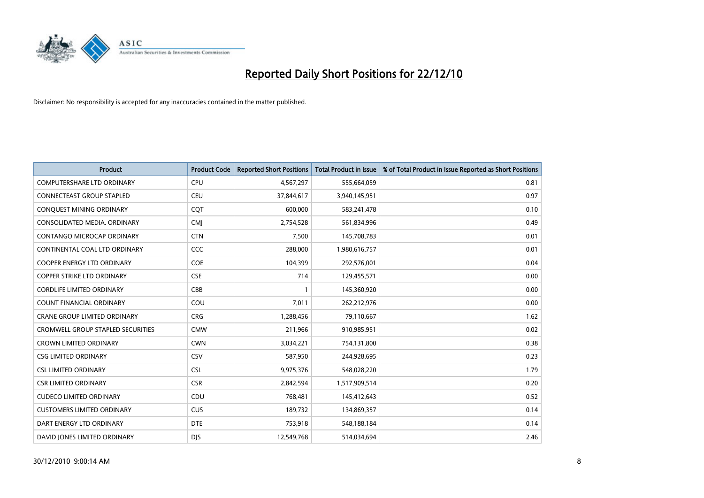

| <b>Product</b>                           | <b>Product Code</b> | <b>Reported Short Positions</b> | <b>Total Product in Issue</b> | % of Total Product in Issue Reported as Short Positions |
|------------------------------------------|---------------------|---------------------------------|-------------------------------|---------------------------------------------------------|
| <b>COMPUTERSHARE LTD ORDINARY</b>        | <b>CPU</b>          | 4,567,297                       | 555,664,059                   | 0.81                                                    |
| <b>CONNECTEAST GROUP STAPLED</b>         | <b>CEU</b>          | 37,844,617                      | 3,940,145,951                 | 0.97                                                    |
| CONQUEST MINING ORDINARY                 | CQT                 | 600,000                         | 583,241,478                   | 0.10                                                    |
| CONSOLIDATED MEDIA. ORDINARY             | <b>CMI</b>          | 2,754,528                       | 561,834,996                   | 0.49                                                    |
| CONTANGO MICROCAP ORDINARY               | <b>CTN</b>          | 7,500                           | 145,708,783                   | 0.01                                                    |
| CONTINENTAL COAL LTD ORDINARY            | CCC                 | 288,000                         | 1,980,616,757                 | 0.01                                                    |
| <b>COOPER ENERGY LTD ORDINARY</b>        | <b>COE</b>          | 104,399                         | 292,576,001                   | 0.04                                                    |
| <b>COPPER STRIKE LTD ORDINARY</b>        | <b>CSE</b>          | 714                             | 129,455,571                   | 0.00                                                    |
| <b>CORDLIFE LIMITED ORDINARY</b>         | CBB                 | 1                               | 145,360,920                   | 0.00                                                    |
| <b>COUNT FINANCIAL ORDINARY</b>          | COU                 | 7,011                           | 262,212,976                   | 0.00                                                    |
| CRANE GROUP LIMITED ORDINARY             | <b>CRG</b>          | 1,288,456                       | 79,110,667                    | 1.62                                                    |
| <b>CROMWELL GROUP STAPLED SECURITIES</b> | <b>CMW</b>          | 211,966                         | 910,985,951                   | 0.02                                                    |
| <b>CROWN LIMITED ORDINARY</b>            | <b>CWN</b>          | 3,034,221                       | 754,131,800                   | 0.38                                                    |
| <b>CSG LIMITED ORDINARY</b>              | CSV                 | 587,950                         | 244,928,695                   | 0.23                                                    |
| <b>CSL LIMITED ORDINARY</b>              | <b>CSL</b>          | 9,975,376                       | 548,028,220                   | 1.79                                                    |
| CSR LIMITED ORDINARY                     | <b>CSR</b>          | 2,842,594                       | 1,517,909,514                 | 0.20                                                    |
| <b>CUDECO LIMITED ORDINARY</b>           | CDU                 | 768,481                         | 145,412,643                   | 0.52                                                    |
| <b>CUSTOMERS LIMITED ORDINARY</b>        | <b>CUS</b>          | 189,732                         | 134,869,357                   | 0.14                                                    |
| DART ENERGY LTD ORDINARY                 | <b>DTE</b>          | 753,918                         | 548,188,184                   | 0.14                                                    |
| DAVID JONES LIMITED ORDINARY             | <b>DJS</b>          | 12,549,768                      | 514,034,694                   | 2.46                                                    |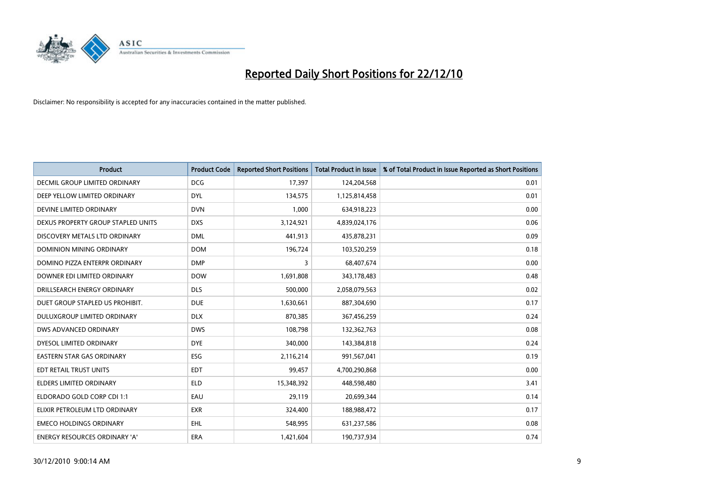

| Product                            | <b>Product Code</b> | <b>Reported Short Positions</b> | <b>Total Product in Issue</b> | % of Total Product in Issue Reported as Short Positions |
|------------------------------------|---------------------|---------------------------------|-------------------------------|---------------------------------------------------------|
| DECMIL GROUP LIMITED ORDINARY      | <b>DCG</b>          | 17,397                          | 124,204,568                   | 0.01                                                    |
| DEEP YELLOW LIMITED ORDINARY       | <b>DYL</b>          | 134,575                         | 1,125,814,458                 | 0.01                                                    |
| DEVINE LIMITED ORDINARY            | <b>DVN</b>          | 1,000                           | 634,918,223                   | 0.00                                                    |
| DEXUS PROPERTY GROUP STAPLED UNITS | <b>DXS</b>          | 3,124,921                       | 4,839,024,176                 | 0.06                                                    |
| DISCOVERY METALS LTD ORDINARY      | <b>DML</b>          | 441,913                         | 435,878,231                   | 0.09                                                    |
| DOMINION MINING ORDINARY           | <b>DOM</b>          | 196,724                         | 103,520,259                   | 0.18                                                    |
| DOMINO PIZZA ENTERPR ORDINARY      | <b>DMP</b>          | 3                               | 68,407,674                    | 0.00                                                    |
| DOWNER EDI LIMITED ORDINARY        | <b>DOW</b>          | 1,691,808                       | 343,178,483                   | 0.48                                                    |
| DRILLSEARCH ENERGY ORDINARY        | <b>DLS</b>          | 500,000                         | 2,058,079,563                 | 0.02                                                    |
| DUET GROUP STAPLED US PROHIBIT.    | <b>DUE</b>          | 1,630,661                       | 887,304,690                   | 0.17                                                    |
| DULUXGROUP LIMITED ORDINARY        | <b>DLX</b>          | 870,385                         | 367,456,259                   | 0.24                                                    |
| DWS ADVANCED ORDINARY              | <b>DWS</b>          | 108,798                         | 132,362,763                   | 0.08                                                    |
| DYESOL LIMITED ORDINARY            | <b>DYE</b>          | 340,000                         | 143,384,818                   | 0.24                                                    |
| <b>EASTERN STAR GAS ORDINARY</b>   | ESG                 | 2,116,214                       | 991,567,041                   | 0.19                                                    |
| EDT RETAIL TRUST UNITS             | <b>EDT</b>          | 99,457                          | 4,700,290,868                 | 0.00                                                    |
| ELDERS LIMITED ORDINARY            | <b>ELD</b>          | 15,348,392                      | 448,598,480                   | 3.41                                                    |
| ELDORADO GOLD CORP CDI 1:1         | EAU                 | 29,119                          | 20,699,344                    | 0.14                                                    |
| ELIXIR PETROLEUM LTD ORDINARY      | <b>EXR</b>          | 324,400                         | 188,988,472                   | 0.17                                                    |
| <b>EMECO HOLDINGS ORDINARY</b>     | <b>EHL</b>          | 548,995                         | 631,237,586                   | 0.08                                                    |
| ENERGY RESOURCES ORDINARY 'A'      | ERA                 | 1,421,604                       | 190,737,934                   | 0.74                                                    |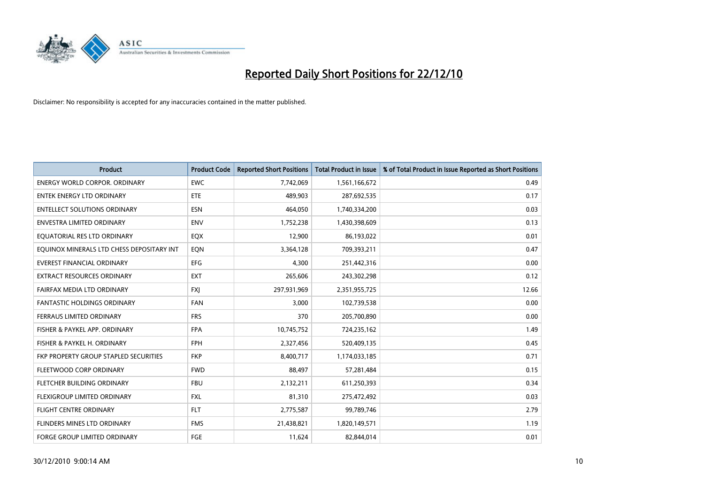

| <b>Product</b>                            | <b>Product Code</b> | <b>Reported Short Positions</b> | <b>Total Product in Issue</b> | % of Total Product in Issue Reported as Short Positions |
|-------------------------------------------|---------------------|---------------------------------|-------------------------------|---------------------------------------------------------|
| <b>ENERGY WORLD CORPOR, ORDINARY</b>      | <b>EWC</b>          | 7,742,069                       | 1,561,166,672                 | 0.49                                                    |
| <b>ENTEK ENERGY LTD ORDINARY</b>          | <b>ETE</b>          | 489.903                         | 287,692,535                   | 0.17                                                    |
| <b>ENTELLECT SOLUTIONS ORDINARY</b>       | <b>ESN</b>          | 464,050                         | 1,740,334,200                 | 0.03                                                    |
| ENVESTRA LIMITED ORDINARY                 | <b>ENV</b>          | 1,752,238                       | 1,430,398,609                 | 0.13                                                    |
| EOUATORIAL RES LTD ORDINARY               | EQX                 | 12,900                          | 86,193,022                    | 0.01                                                    |
| EQUINOX MINERALS LTD CHESS DEPOSITARY INT | EQN                 | 3,364,128                       | 709,393,211                   | 0.47                                                    |
| <b>EVEREST FINANCIAL ORDINARY</b>         | <b>EFG</b>          | 4.300                           | 251,442,316                   | 0.00                                                    |
| <b>EXTRACT RESOURCES ORDINARY</b>         | <b>EXT</b>          | 265,606                         | 243,302,298                   | 0.12                                                    |
| FAIRFAX MEDIA LTD ORDINARY                | FXJ                 | 297,931,969                     | 2,351,955,725                 | 12.66                                                   |
| <b>FANTASTIC HOLDINGS ORDINARY</b>        | <b>FAN</b>          | 3.000                           | 102,739,538                   | 0.00                                                    |
| FERRAUS LIMITED ORDINARY                  | <b>FRS</b>          | 370                             | 205,700,890                   | 0.00                                                    |
| FISHER & PAYKEL APP. ORDINARY             | <b>FPA</b>          | 10,745,752                      | 724,235,162                   | 1.49                                                    |
| FISHER & PAYKEL H. ORDINARY               | FPH                 | 2,327,456                       | 520,409,135                   | 0.45                                                    |
| FKP PROPERTY GROUP STAPLED SECURITIES     | <b>FKP</b>          | 8,400,717                       | 1,174,033,185                 | 0.71                                                    |
| FLEETWOOD CORP ORDINARY                   | <b>FWD</b>          | 88,497                          | 57,281,484                    | 0.15                                                    |
| FLETCHER BUILDING ORDINARY                | <b>FBU</b>          | 2,132,211                       | 611,250,393                   | 0.34                                                    |
| FLEXIGROUP LIMITED ORDINARY               | <b>FXL</b>          | 81,310                          | 275,472,492                   | 0.03                                                    |
| FLIGHT CENTRE ORDINARY                    | <b>FLT</b>          | 2,775,587                       | 99,789,746                    | 2.79                                                    |
| FLINDERS MINES LTD ORDINARY               | <b>FMS</b>          | 21,438,821                      | 1,820,149,571                 | 1.19                                                    |
| <b>FORGE GROUP LIMITED ORDINARY</b>       | FGE                 | 11,624                          | 82,844,014                    | 0.01                                                    |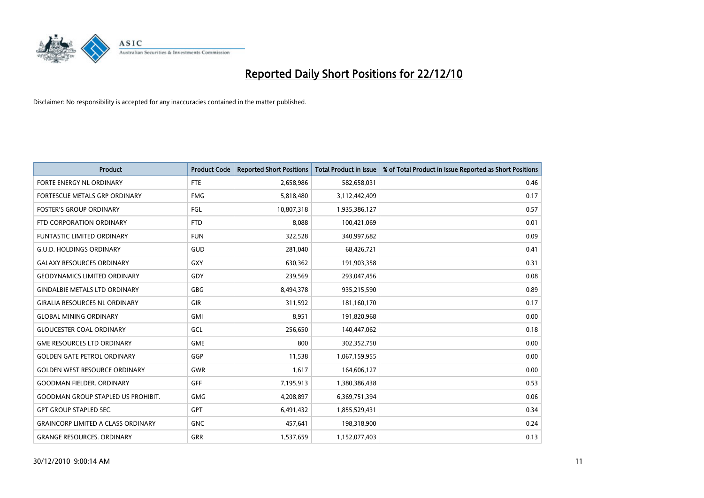

| <b>Product</b>                            | <b>Product Code</b> | <b>Reported Short Positions</b> | <b>Total Product in Issue</b> | % of Total Product in Issue Reported as Short Positions |
|-------------------------------------------|---------------------|---------------------------------|-------------------------------|---------------------------------------------------------|
| FORTE ENERGY NL ORDINARY                  | <b>FTE</b>          | 2,658,986                       | 582,658,031                   | 0.46                                                    |
| FORTESCUE METALS GRP ORDINARY             | <b>FMG</b>          | 5,818,480                       | 3,112,442,409                 | 0.17                                                    |
| <b>FOSTER'S GROUP ORDINARY</b>            | <b>FGL</b>          | 10,807,318                      | 1,935,386,127                 | 0.57                                                    |
| FTD CORPORATION ORDINARY                  | <b>FTD</b>          | 8,088                           | 100,421,069                   | 0.01                                                    |
| <b>FUNTASTIC LIMITED ORDINARY</b>         | <b>FUN</b>          | 322,528                         | 340,997,682                   | 0.09                                                    |
| <b>G.U.D. HOLDINGS ORDINARY</b>           | GUD                 | 281,040                         | 68,426,721                    | 0.41                                                    |
| <b>GALAXY RESOURCES ORDINARY</b>          | GXY                 | 630,362                         | 191,903,358                   | 0.31                                                    |
| <b>GEODYNAMICS LIMITED ORDINARY</b>       | GDY                 | 239,569                         | 293,047,456                   | 0.08                                                    |
| <b>GINDALBIE METALS LTD ORDINARY</b>      | <b>GBG</b>          | 8,494,378                       | 935,215,590                   | 0.89                                                    |
| <b>GIRALIA RESOURCES NL ORDINARY</b>      | <b>GIR</b>          | 311,592                         | 181,160,170                   | 0.17                                                    |
| <b>GLOBAL MINING ORDINARY</b>             | <b>GMI</b>          | 8,951                           | 191,820,968                   | 0.00                                                    |
| <b>GLOUCESTER COAL ORDINARY</b>           | GCL                 | 256,650                         | 140,447,062                   | 0.18                                                    |
| <b>GME RESOURCES LTD ORDINARY</b>         | <b>GME</b>          | 800                             | 302,352,750                   | 0.00                                                    |
| <b>GOLDEN GATE PETROL ORDINARY</b>        | GGP                 | 11,538                          | 1,067,159,955                 | 0.00                                                    |
| <b>GOLDEN WEST RESOURCE ORDINARY</b>      | GWR                 | 1,617                           | 164,606,127                   | 0.00                                                    |
| <b>GOODMAN FIELDER, ORDINARY</b>          | <b>GFF</b>          | 7,195,913                       | 1,380,386,438                 | 0.53                                                    |
| <b>GOODMAN GROUP STAPLED US PROHIBIT.</b> | <b>GMG</b>          | 4,208,897                       | 6,369,751,394                 | 0.06                                                    |
| <b>GPT GROUP STAPLED SEC.</b>             | <b>GPT</b>          | 6,491,432                       | 1,855,529,431                 | 0.34                                                    |
| <b>GRAINCORP LIMITED A CLASS ORDINARY</b> | <b>GNC</b>          | 457,641                         | 198,318,900                   | 0.24                                                    |
| <b>GRANGE RESOURCES, ORDINARY</b>         | <b>GRR</b>          | 1,537,659                       | 1,152,077,403                 | 0.13                                                    |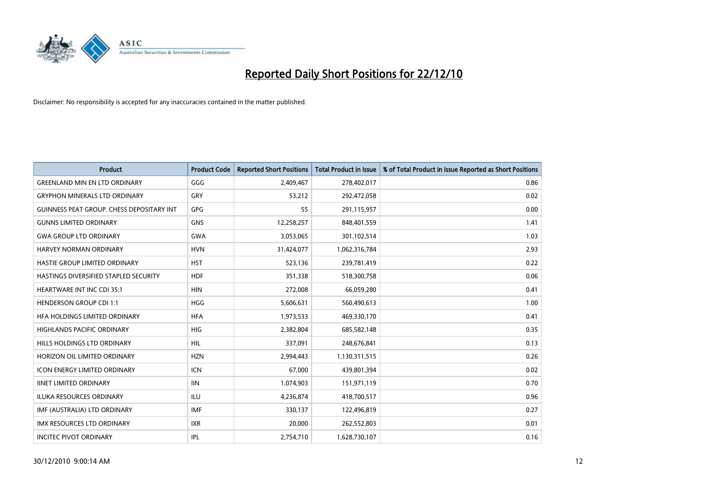

| <b>Product</b>                            | <b>Product Code</b> | <b>Reported Short Positions</b> | <b>Total Product in Issue</b> | % of Total Product in Issue Reported as Short Positions |
|-------------------------------------------|---------------------|---------------------------------|-------------------------------|---------------------------------------------------------|
| <b>GREENLAND MIN EN LTD ORDINARY</b>      | GGG                 | 2,409,467                       | 278,402,017                   | 0.86                                                    |
| <b>GRYPHON MINERALS LTD ORDINARY</b>      | GRY                 | 53,212                          | 292,472,058                   | 0.02                                                    |
| GUINNESS PEAT GROUP. CHESS DEPOSITARY INT | <b>GPG</b>          | 55                              | 291,115,957                   | 0.00                                                    |
| <b>GUNNS LIMITED ORDINARY</b>             | <b>GNS</b>          | 12,258,257                      | 848,401,559                   | 1.41                                                    |
| <b>GWA GROUP LTD ORDINARY</b>             | <b>GWA</b>          | 3,053,065                       | 301,102,514                   | 1.03                                                    |
| HARVEY NORMAN ORDINARY                    | <b>HVN</b>          | 31,424,077                      | 1,062,316,784                 | 2.93                                                    |
| HASTIE GROUP LIMITED ORDINARY             | <b>HST</b>          | 523,136                         | 239,781,419                   | 0.22                                                    |
| HASTINGS DIVERSIFIED STAPLED SECURITY     | <b>HDF</b>          | 351,338                         | 518,300,758                   | 0.06                                                    |
| <b>HEARTWARE INT INC CDI 35:1</b>         | <b>HIN</b>          | 272,008                         | 66,059,280                    | 0.41                                                    |
| <b>HENDERSON GROUP CDI 1:1</b>            | <b>HGG</b>          | 5,606,631                       | 560,490,613                   | 1.00                                                    |
| HEA HOLDINGS LIMITED ORDINARY             | <b>HFA</b>          | 1,973,533                       | 469,330,170                   | 0.41                                                    |
| <b>HIGHLANDS PACIFIC ORDINARY</b>         | <b>HIG</b>          | 2,382,804                       | 685,582,148                   | 0.35                                                    |
| HILLS HOLDINGS LTD ORDINARY               | <b>HIL</b>          | 337,091                         | 248,676,841                   | 0.13                                                    |
| HORIZON OIL LIMITED ORDINARY              | <b>HZN</b>          | 2,994,443                       | 1,130,311,515                 | 0.26                                                    |
| <b>ICON ENERGY LIMITED ORDINARY</b>       | <b>ICN</b>          | 67,000                          | 439,801,394                   | 0.02                                                    |
| <b>IINET LIMITED ORDINARY</b>             | <b>IIN</b>          | 1,074,903                       | 151,971,119                   | 0.70                                                    |
| ILUKA RESOURCES ORDINARY                  | ILU                 | 4,236,874                       | 418,700,517                   | 0.96                                                    |
| IMF (AUSTRALIA) LTD ORDINARY              | <b>IMF</b>          | 330,137                         | 122,496,819                   | 0.27                                                    |
| <b>IMX RESOURCES LTD ORDINARY</b>         | <b>IXR</b>          | 20,000                          | 262,552,803                   | 0.01                                                    |
| <b>INCITEC PIVOT ORDINARY</b>             | <b>IPL</b>          | 2,754,710                       | 1,628,730,107                 | 0.16                                                    |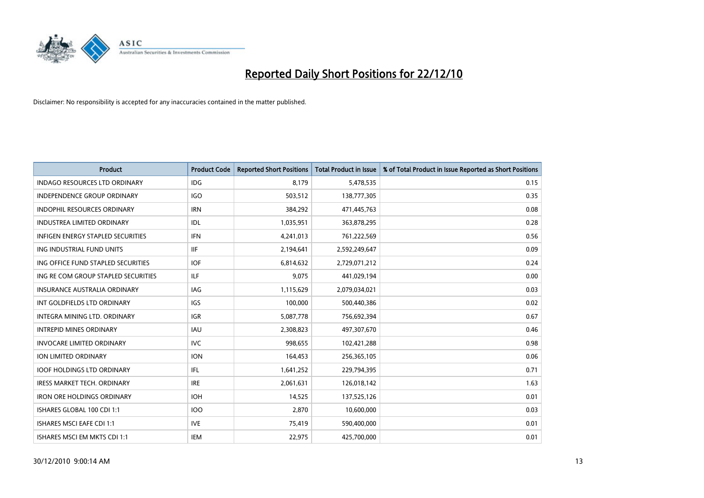

| Product                                  | <b>Product Code</b> | <b>Reported Short Positions</b> | <b>Total Product in Issue</b> | % of Total Product in Issue Reported as Short Positions |
|------------------------------------------|---------------------|---------------------------------|-------------------------------|---------------------------------------------------------|
| <b>INDAGO RESOURCES LTD ORDINARY</b>     | <b>IDG</b>          | 8.179                           | 5,478,535                     | 0.15                                                    |
| INDEPENDENCE GROUP ORDINARY              | <b>IGO</b>          | 503,512                         | 138,777,305                   | 0.35                                                    |
| <b>INDOPHIL RESOURCES ORDINARY</b>       | <b>IRN</b>          | 384,292                         | 471,445,763                   | 0.08                                                    |
| <b>INDUSTREA LIMITED ORDINARY</b>        | IDL                 | 1,035,951                       | 363,878,295                   | 0.28                                                    |
| <b>INFIGEN ENERGY STAPLED SECURITIES</b> | <b>IFN</b>          | 4,241,013                       | 761,222,569                   | 0.56                                                    |
| ING INDUSTRIAL FUND UNITS                | <b>IIF</b>          | 2,194,641                       | 2,592,249,647                 | 0.09                                                    |
| ING OFFICE FUND STAPLED SECURITIES       | IOF                 | 6,814,632                       | 2,729,071,212                 | 0.24                                                    |
| ING RE COM GROUP STAPLED SECURITIES      | ILF.                | 9,075                           | 441,029,194                   | 0.00                                                    |
| <b>INSURANCE AUSTRALIA ORDINARY</b>      | IAG                 | 1,115,629                       | 2,079,034,021                 | 0.03                                                    |
| INT GOLDFIELDS LTD ORDINARY              | <b>IGS</b>          | 100,000                         | 500,440,386                   | 0.02                                                    |
| INTEGRA MINING LTD, ORDINARY             | <b>IGR</b>          | 5,087,778                       | 756,692,394                   | 0.67                                                    |
| <b>INTREPID MINES ORDINARY</b>           | IAU                 | 2,308,823                       | 497,307,670                   | 0.46                                                    |
| <b>INVOCARE LIMITED ORDINARY</b>         | <b>IVC</b>          | 998,655                         | 102,421,288                   | 0.98                                                    |
| <b>ION LIMITED ORDINARY</b>              | <b>ION</b>          | 164,453                         | 256,365,105                   | 0.06                                                    |
| <b>IOOF HOLDINGS LTD ORDINARY</b>        | IFL                 | 1,641,252                       | 229,794,395                   | 0.71                                                    |
| <b>IRESS MARKET TECH. ORDINARY</b>       | <b>IRE</b>          | 2,061,631                       | 126,018,142                   | 1.63                                                    |
| <b>IRON ORE HOLDINGS ORDINARY</b>        | <b>IOH</b>          | 14,525                          | 137,525,126                   | 0.01                                                    |
| ISHARES GLOBAL 100 CDI 1:1               | 100                 | 2,870                           | 10,600,000                    | 0.03                                                    |
| <b>ISHARES MSCI EAFE CDI 1:1</b>         | <b>IVE</b>          | 75,419                          | 590,400,000                   | 0.01                                                    |
| ISHARES MSCI EM MKTS CDI 1:1             | IEM                 | 22,975                          | 425,700,000                   | 0.01                                                    |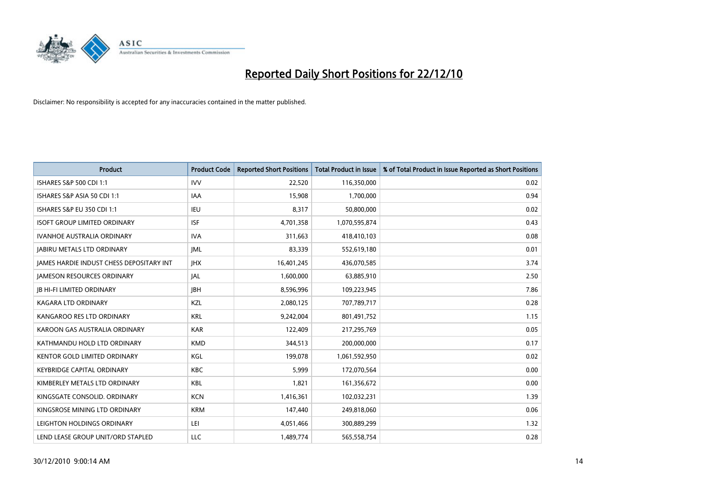

| Product                                  | <b>Product Code</b> | <b>Reported Short Positions</b> | <b>Total Product in Issue</b> | % of Total Product in Issue Reported as Short Positions |
|------------------------------------------|---------------------|---------------------------------|-------------------------------|---------------------------------------------------------|
| ISHARES S&P 500 CDI 1:1                  | <b>IVV</b>          | 22,520                          | 116,350,000                   | 0.02                                                    |
| ISHARES S&P ASIA 50 CDI 1:1              | IAA                 | 15,908                          | 1,700,000                     | 0.94                                                    |
| <b>ISHARES S&amp;P EU 350 CDI 1:1</b>    | IEU                 | 8,317                           | 50,800,000                    | 0.02                                                    |
| <b>ISOFT GROUP LIMITED ORDINARY</b>      | <b>ISF</b>          | 4,701,358                       | 1,070,595,874                 | 0.43                                                    |
| <b>IVANHOE AUSTRALIA ORDINARY</b>        | <b>IVA</b>          | 311,663                         | 418,410,103                   | 0.08                                                    |
| <b>JABIRU METALS LTD ORDINARY</b>        | <b>JML</b>          | 83,339                          | 552,619,180                   | 0.01                                                    |
| JAMES HARDIE INDUST CHESS DEPOSITARY INT | <b>IHX</b>          | 16,401,245                      | 436,070,585                   | 3.74                                                    |
| <b>JAMESON RESOURCES ORDINARY</b>        | JAL                 | 1,600,000                       | 63,885,910                    | 2.50                                                    |
| <b>JB HI-FI LIMITED ORDINARY</b>         | <b>IBH</b>          | 8,596,996                       | 109,223,945                   | 7.86                                                    |
| <b>KAGARA LTD ORDINARY</b>               | KZL                 | 2,080,125                       | 707,789,717                   | 0.28                                                    |
| KANGAROO RES LTD ORDINARY                | <b>KRL</b>          | 9,242,004                       | 801,491,752                   | 1.15                                                    |
| KAROON GAS AUSTRALIA ORDINARY            | <b>KAR</b>          | 122,409                         | 217,295,769                   | 0.05                                                    |
| KATHMANDU HOLD LTD ORDINARY              | <b>KMD</b>          | 344,513                         | 200,000,000                   | 0.17                                                    |
| <b>KENTOR GOLD LIMITED ORDINARY</b>      | KGL                 | 199,078                         | 1,061,592,950                 | 0.02                                                    |
| <b>KEYBRIDGE CAPITAL ORDINARY</b>        | <b>KBC</b>          | 5,999                           | 172,070,564                   | 0.00                                                    |
| KIMBERLEY METALS LTD ORDINARY            | KBL                 | 1,821                           | 161,356,672                   | 0.00                                                    |
| KINGSGATE CONSOLID. ORDINARY             | <b>KCN</b>          | 1,416,361                       | 102,032,231                   | 1.39                                                    |
| KINGSROSE MINING LTD ORDINARY            | <b>KRM</b>          | 147,440                         | 249,818,060                   | 0.06                                                    |
| LEIGHTON HOLDINGS ORDINARY               | LEI                 | 4,051,466                       | 300,889,299                   | 1.32                                                    |
| LEND LEASE GROUP UNIT/ORD STAPLED        | LLC                 | 1,489,774                       | 565,558,754                   | 0.28                                                    |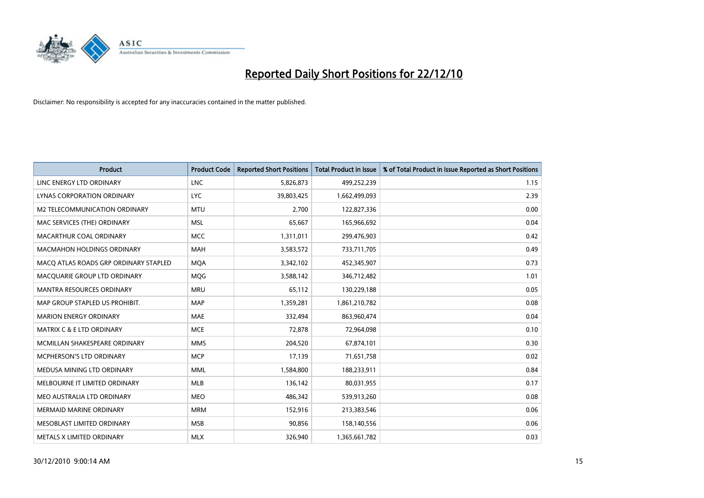

| <b>Product</b>                        | <b>Product Code</b> | <b>Reported Short Positions</b> | <b>Total Product in Issue</b> | % of Total Product in Issue Reported as Short Positions |
|---------------------------------------|---------------------|---------------------------------|-------------------------------|---------------------------------------------------------|
| LINC ENERGY LTD ORDINARY              | <b>LNC</b>          | 5,826,873                       | 499,252,239                   | 1.15                                                    |
| LYNAS CORPORATION ORDINARY            | <b>LYC</b>          | 39,803,425                      | 1,662,499,093                 | 2.39                                                    |
| M2 TELECOMMUNICATION ORDINARY         | <b>MTU</b>          | 2.700                           | 122,827,336                   | 0.00                                                    |
| MAC SERVICES (THE) ORDINARY           | <b>MSL</b>          | 65,667                          | 165,966,692                   | 0.04                                                    |
| MACARTHUR COAL ORDINARY               | <b>MCC</b>          | 1,311,011                       | 299,476,903                   | 0.42                                                    |
| <b>MACMAHON HOLDINGS ORDINARY</b>     | <b>MAH</b>          | 3,583,572                       | 733,711,705                   | 0.49                                                    |
| MACO ATLAS ROADS GRP ORDINARY STAPLED | <b>MQA</b>          | 3,342,102                       | 452,345,907                   | 0.73                                                    |
| MACQUARIE GROUP LTD ORDINARY          | <b>MOG</b>          | 3,588,142                       | 346,712,482                   | 1.01                                                    |
| <b>MANTRA RESOURCES ORDINARY</b>      | <b>MRU</b>          | 65,112                          | 130,229,188                   | 0.05                                                    |
| MAP GROUP STAPLED US PROHIBIT.        | <b>MAP</b>          | 1,359,281                       | 1,861,210,782                 | 0.08                                                    |
| <b>MARION ENERGY ORDINARY</b>         | <b>MAE</b>          | 332,494                         | 863,960,474                   | 0.04                                                    |
| <b>MATRIX C &amp; E LTD ORDINARY</b>  | <b>MCE</b>          | 72,878                          | 72,964,098                    | 0.10                                                    |
| MCMILLAN SHAKESPEARE ORDINARY         | <b>MMS</b>          | 204,520                         | 67,874,101                    | 0.30                                                    |
| MCPHERSON'S LTD ORDINARY              | <b>MCP</b>          | 17,139                          | 71,651,758                    | 0.02                                                    |
| MEDUSA MINING LTD ORDINARY            | <b>MML</b>          | 1,584,800                       | 188,233,911                   | 0.84                                                    |
| MELBOURNE IT LIMITED ORDINARY         | MLB                 | 136,142                         | 80,031,955                    | 0.17                                                    |
| MEO AUSTRALIA LTD ORDINARY            | <b>MEO</b>          | 486,342                         | 539,913,260                   | 0.08                                                    |
| MERMAID MARINE ORDINARY               | <b>MRM</b>          | 152,916                         | 213,383,546                   | 0.06                                                    |
| MESOBLAST LIMITED ORDINARY            | <b>MSB</b>          | 90,856                          | 158,140,556                   | 0.06                                                    |
| METALS X LIMITED ORDINARY             | <b>MLX</b>          | 326,940                         | 1,365,661,782                 | 0.03                                                    |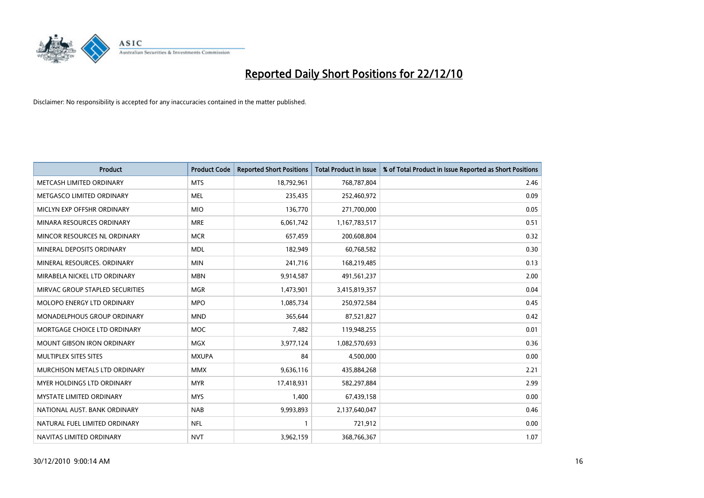

| Product                           | <b>Product Code</b> | <b>Reported Short Positions</b> | <b>Total Product in Issue</b> | % of Total Product in Issue Reported as Short Positions |
|-----------------------------------|---------------------|---------------------------------|-------------------------------|---------------------------------------------------------|
| METCASH LIMITED ORDINARY          | <b>MTS</b>          | 18,792,961                      | 768,787,804                   | 2.46                                                    |
| METGASCO LIMITED ORDINARY         | <b>MEL</b>          | 235,435                         | 252,460,972                   | 0.09                                                    |
| MICLYN EXP OFFSHR ORDINARY        | <b>MIO</b>          | 136,770                         | 271,700,000                   | 0.05                                                    |
| MINARA RESOURCES ORDINARY         | <b>MRE</b>          | 6,061,742                       | 1,167,783,517                 | 0.51                                                    |
| MINCOR RESOURCES NL ORDINARY      | <b>MCR</b>          | 657,459                         | 200,608,804                   | 0.32                                                    |
| MINERAL DEPOSITS ORDINARY         | <b>MDL</b>          | 182,949                         | 60,768,582                    | 0.30                                                    |
| MINERAL RESOURCES. ORDINARY       | <b>MIN</b>          | 241,716                         | 168,219,485                   | 0.13                                                    |
| MIRABELA NICKEL LTD ORDINARY      | <b>MBN</b>          | 9,914,587                       | 491,561,237                   | 2.00                                                    |
| MIRVAC GROUP STAPLED SECURITIES   | <b>MGR</b>          | 1,473,901                       | 3,415,819,357                 | 0.04                                                    |
| <b>MOLOPO ENERGY LTD ORDINARY</b> | <b>MPO</b>          | 1,085,734                       | 250,972,584                   | 0.45                                                    |
| MONADELPHOUS GROUP ORDINARY       | <b>MND</b>          | 365,644                         | 87,521,827                    | 0.42                                                    |
| MORTGAGE CHOICE LTD ORDINARY      | MOC                 | 7,482                           | 119,948,255                   | 0.01                                                    |
| <b>MOUNT GIBSON IRON ORDINARY</b> | <b>MGX</b>          | 3,977,124                       | 1,082,570,693                 | 0.36                                                    |
| MULTIPLEX SITES SITES             | <b>MXUPA</b>        | 84                              | 4,500,000                     | 0.00                                                    |
| MURCHISON METALS LTD ORDINARY     | <b>MMX</b>          | 9,636,116                       | 435,884,268                   | 2.21                                                    |
| <b>MYER HOLDINGS LTD ORDINARY</b> | <b>MYR</b>          | 17,418,931                      | 582,297,884                   | 2.99                                                    |
| MYSTATE LIMITED ORDINARY          | <b>MYS</b>          | 1,400                           | 67,439,158                    | 0.00                                                    |
| NATIONAL AUST, BANK ORDINARY      | <b>NAB</b>          | 9,993,893                       | 2,137,640,047                 | 0.46                                                    |
| NATURAL FUEL LIMITED ORDINARY     | <b>NFL</b>          | 1                               | 721,912                       | 0.00                                                    |
| NAVITAS LIMITED ORDINARY          | <b>NVT</b>          | 3,962,159                       | 368,766,367                   | 1.07                                                    |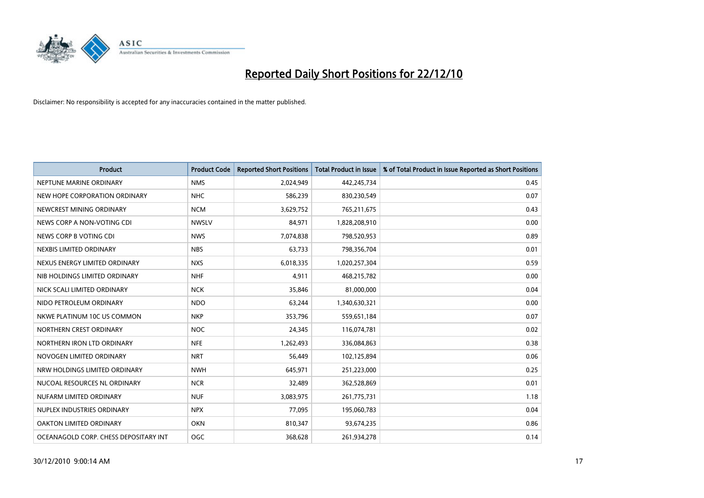

| Product                               | <b>Product Code</b> | <b>Reported Short Positions</b> | <b>Total Product in Issue</b> | % of Total Product in Issue Reported as Short Positions |
|---------------------------------------|---------------------|---------------------------------|-------------------------------|---------------------------------------------------------|
| NEPTUNE MARINE ORDINARY               | <b>NMS</b>          | 2,024,949                       | 442,245,734                   | 0.45                                                    |
| NEW HOPE CORPORATION ORDINARY         | <b>NHC</b>          | 586,239                         | 830,230,549                   | 0.07                                                    |
| NEWCREST MINING ORDINARY              | <b>NCM</b>          | 3,629,752                       | 765,211,675                   | 0.43                                                    |
| NEWS CORP A NON-VOTING CDI            | <b>NWSLV</b>        | 84,971                          | 1,828,208,910                 | 0.00                                                    |
| NEWS CORP B VOTING CDI                | <b>NWS</b>          | 7,074,838                       | 798,520,953                   | 0.89                                                    |
| NEXBIS LIMITED ORDINARY               | <b>NBS</b>          | 63,733                          | 798,356,704                   | 0.01                                                    |
| NEXUS ENERGY LIMITED ORDINARY         | <b>NXS</b>          | 6,018,335                       | 1,020,257,304                 | 0.59                                                    |
| NIB HOLDINGS LIMITED ORDINARY         | <b>NHF</b>          | 4,911                           | 468,215,782                   | 0.00                                                    |
| NICK SCALI LIMITED ORDINARY           | <b>NCK</b>          | 35,846                          | 81,000,000                    | 0.04                                                    |
| NIDO PETROLEUM ORDINARY               | <b>NDO</b>          | 63,244                          | 1,340,630,321                 | 0.00                                                    |
| NKWE PLATINUM 10C US COMMON           | <b>NKP</b>          | 353,796                         | 559,651,184                   | 0.07                                                    |
| NORTHERN CREST ORDINARY               | <b>NOC</b>          | 24,345                          | 116,074,781                   | 0.02                                                    |
| NORTHERN IRON LTD ORDINARY            | <b>NFE</b>          | 1,262,493                       | 336,084,863                   | 0.38                                                    |
| NOVOGEN LIMITED ORDINARY              | <b>NRT</b>          | 56,449                          | 102,125,894                   | 0.06                                                    |
| NRW HOLDINGS LIMITED ORDINARY         | <b>NWH</b>          | 645,971                         | 251,223,000                   | 0.25                                                    |
| NUCOAL RESOURCES NL ORDINARY          | <b>NCR</b>          | 32,489                          | 362,528,869                   | 0.01                                                    |
| NUFARM LIMITED ORDINARY               | <b>NUF</b>          | 3,083,975                       | 261,775,731                   | 1.18                                                    |
| NUPLEX INDUSTRIES ORDINARY            | <b>NPX</b>          | 77,095                          | 195,060,783                   | 0.04                                                    |
| <b>OAKTON LIMITED ORDINARY</b>        | <b>OKN</b>          | 810,347                         | 93,674,235                    | 0.86                                                    |
| OCEANAGOLD CORP. CHESS DEPOSITARY INT | OGC                 | 368,628                         | 261,934,278                   | 0.14                                                    |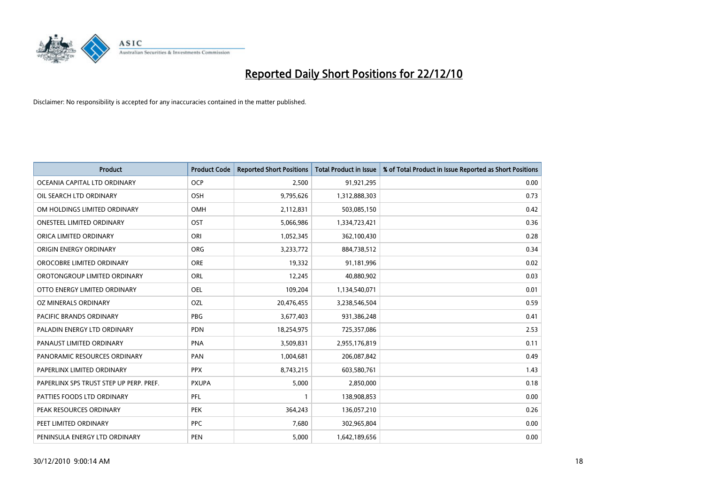

| Product                                 | <b>Product Code</b> | <b>Reported Short Positions</b> | <b>Total Product in Issue</b> | % of Total Product in Issue Reported as Short Positions |
|-----------------------------------------|---------------------|---------------------------------|-------------------------------|---------------------------------------------------------|
| OCEANIA CAPITAL LTD ORDINARY            | <b>OCP</b>          | 2,500                           | 91,921,295                    | 0.00                                                    |
| OIL SEARCH LTD ORDINARY                 | OSH                 | 9,795,626                       | 1,312,888,303                 | 0.73                                                    |
| OM HOLDINGS LIMITED ORDINARY            | OMH                 | 2,112,831                       | 503,085,150                   | 0.42                                                    |
| <b>ONESTEEL LIMITED ORDINARY</b>        | OST                 | 5,066,986                       | 1,334,723,421                 | 0.36                                                    |
| ORICA LIMITED ORDINARY                  | ORI                 | 1,052,345                       | 362,100,430                   | 0.28                                                    |
| ORIGIN ENERGY ORDINARY                  | <b>ORG</b>          | 3,233,772                       | 884,738,512                   | 0.34                                                    |
| OROCOBRE LIMITED ORDINARY               | <b>ORE</b>          | 19,332                          | 91,181,996                    | 0.02                                                    |
| OROTONGROUP LIMITED ORDINARY            | ORL                 | 12,245                          | 40,880,902                    | 0.03                                                    |
| OTTO ENERGY LIMITED ORDINARY            | OEL                 | 109,204                         | 1,134,540,071                 | 0.01                                                    |
| <b>OZ MINERALS ORDINARY</b>             | <b>OZL</b>          | 20,476,455                      | 3,238,546,504                 | 0.59                                                    |
| PACIFIC BRANDS ORDINARY                 | <b>PBG</b>          | 3,677,403                       | 931,386,248                   | 0.41                                                    |
| PALADIN ENERGY LTD ORDINARY             | <b>PDN</b>          | 18,254,975                      | 725,357,086                   | 2.53                                                    |
| PANAUST LIMITED ORDINARY                | <b>PNA</b>          | 3,509,831                       | 2,955,176,819                 | 0.11                                                    |
| PANORAMIC RESOURCES ORDINARY            | PAN                 | 1,004,681                       | 206,087,842                   | 0.49                                                    |
| PAPERLINX LIMITED ORDINARY              | <b>PPX</b>          | 8,743,215                       | 603,580,761                   | 1.43                                                    |
| PAPERLINX SPS TRUST STEP UP PERP. PREF. | <b>PXUPA</b>        | 5,000                           | 2,850,000                     | 0.18                                                    |
| PATTIES FOODS LTD ORDINARY              | PFL                 | $\mathbf{1}$                    | 138,908,853                   | 0.00                                                    |
| PEAK RESOURCES ORDINARY                 | <b>PEK</b>          | 364,243                         | 136,057,210                   | 0.26                                                    |
| PEET LIMITED ORDINARY                   | <b>PPC</b>          | 7,680                           | 302,965,804                   | 0.00                                                    |
| PENINSULA ENERGY LTD ORDINARY           | PEN                 | 5,000                           | 1,642,189,656                 | 0.00                                                    |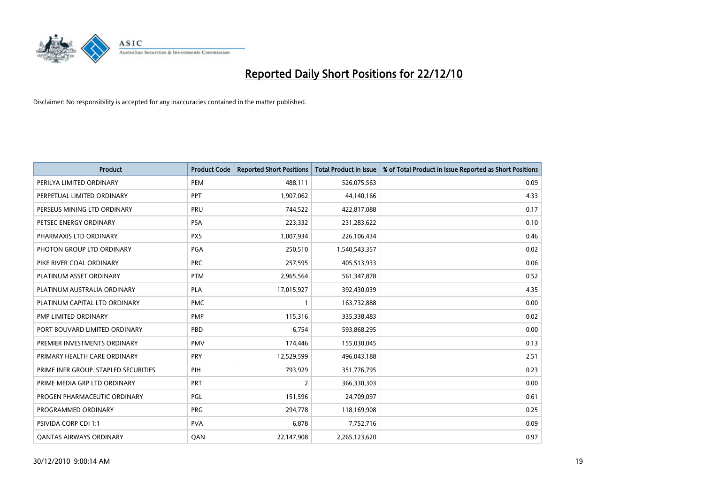

| Product                              | <b>Product Code</b> | <b>Reported Short Positions</b> | <b>Total Product in Issue</b> | % of Total Product in Issue Reported as Short Positions |
|--------------------------------------|---------------------|---------------------------------|-------------------------------|---------------------------------------------------------|
| PERILYA LIMITED ORDINARY             | PEM                 | 488,111                         | 526,075,563                   | 0.09                                                    |
| PERPETUAL LIMITED ORDINARY           | <b>PPT</b>          | 1,907,062                       | 44,140,166                    | 4.33                                                    |
| PERSEUS MINING LTD ORDINARY          | <b>PRU</b>          | 744,522                         | 422,817,088                   | 0.17                                                    |
| PETSEC ENERGY ORDINARY               | <b>PSA</b>          | 223,332                         | 231,283,622                   | 0.10                                                    |
| PHARMAXIS LTD ORDINARY               | <b>PXS</b>          | 1,007,934                       | 226,106,434                   | 0.46                                                    |
| PHOTON GROUP LTD ORDINARY            | PGA                 | 250,510                         | 1,540,543,357                 | 0.02                                                    |
| PIKE RIVER COAL ORDINARY             | <b>PRC</b>          | 257,595                         | 405,513,933                   | 0.06                                                    |
| PLATINUM ASSET ORDINARY              | <b>PTM</b>          | 2,965,564                       | 561,347,878                   | 0.52                                                    |
| PLATINUM AUSTRALIA ORDINARY          | <b>PLA</b>          | 17,015,927                      | 392,430,039                   | 4.35                                                    |
| PLATINUM CAPITAL LTD ORDINARY        | <b>PMC</b>          | $\mathbf{1}$                    | 163,732,888                   | 0.00                                                    |
| PMP LIMITED ORDINARY                 | <b>PMP</b>          | 115,316                         | 335,338,483                   | 0.02                                                    |
| PORT BOUVARD LIMITED ORDINARY        | PBD                 | 6,754                           | 593,868,295                   | 0.00                                                    |
| PREMIER INVESTMENTS ORDINARY         | <b>PMV</b>          | 174,446                         | 155,030,045                   | 0.13                                                    |
| PRIMARY HEALTH CARE ORDINARY         | PRY                 | 12,529,599                      | 496,043,188                   | 2.51                                                    |
| PRIME INFR GROUP. STAPLED SECURITIES | PIH                 | 793,929                         | 351,776,795                   | 0.23                                                    |
| PRIME MEDIA GRP LTD ORDINARY         | <b>PRT</b>          | 2                               | 366,330,303                   | 0.00                                                    |
| PROGEN PHARMACEUTIC ORDINARY         | PGL                 | 151,596                         | 24,709,097                    | 0.61                                                    |
| PROGRAMMED ORDINARY                  | <b>PRG</b>          | 294,778                         | 118,169,908                   | 0.25                                                    |
| PSIVIDA CORP CDI 1:1                 | <b>PVA</b>          | 6,878                           | 7,752,716                     | 0.09                                                    |
| <b>QANTAS AIRWAYS ORDINARY</b>       | QAN                 | 22,147,908                      | 2,265,123,620                 | 0.97                                                    |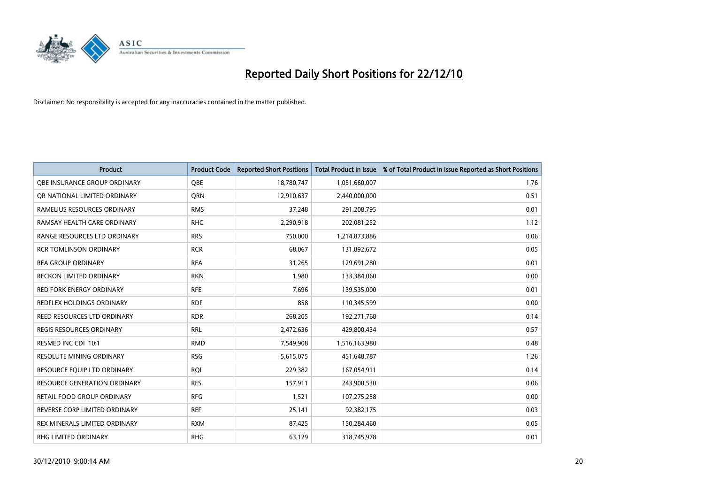

| Product                          | <b>Product Code</b> | <b>Reported Short Positions</b> | <b>Total Product in Issue</b> | % of Total Product in Issue Reported as Short Positions |
|----------------------------------|---------------------|---------------------------------|-------------------------------|---------------------------------------------------------|
| OBE INSURANCE GROUP ORDINARY     | <b>OBE</b>          | 18,780,747                      | 1,051,660,007                 | 1.76                                                    |
| OR NATIONAL LIMITED ORDINARY     | QRN                 | 12,910,637                      | 2,440,000,000                 | 0.51                                                    |
| RAMELIUS RESOURCES ORDINARY      | <b>RMS</b>          | 37,248                          | 291,208,795                   | 0.01                                                    |
| RAMSAY HEALTH CARE ORDINARY      | <b>RHC</b>          | 2,290,918                       | 202,081,252                   | 1.12                                                    |
| RANGE RESOURCES LTD ORDINARY     | <b>RRS</b>          | 750,000                         | 1,214,873,886                 | 0.06                                                    |
| <b>RCR TOMLINSON ORDINARY</b>    | <b>RCR</b>          | 68,067                          | 131,892,672                   | 0.05                                                    |
| <b>REA GROUP ORDINARY</b>        | <b>REA</b>          | 31,265                          | 129,691,280                   | 0.01                                                    |
| RECKON LIMITED ORDINARY          | <b>RKN</b>          | 1,980                           | 133,384,060                   | 0.00                                                    |
| <b>RED FORK ENERGY ORDINARY</b>  | <b>RFE</b>          | 7,696                           | 139,535,000                   | 0.01                                                    |
| <b>REDFLEX HOLDINGS ORDINARY</b> | <b>RDF</b>          | 858                             | 110,345,599                   | 0.00                                                    |
| REED RESOURCES LTD ORDINARY      | <b>RDR</b>          | 268,205                         | 192,271,768                   | 0.14                                                    |
| <b>REGIS RESOURCES ORDINARY</b>  | <b>RRL</b>          | 2,472,636                       | 429,800,434                   | 0.57                                                    |
| RESMED INC CDI 10:1              | <b>RMD</b>          | 7,549,908                       | 1,516,163,980                 | 0.48                                                    |
| <b>RESOLUTE MINING ORDINARY</b>  | <b>RSG</b>          | 5,615,075                       | 451,648,787                   | 1.26                                                    |
| RESOURCE EQUIP LTD ORDINARY      | <b>RQL</b>          | 229,382                         | 167,054,911                   | 0.14                                                    |
| RESOURCE GENERATION ORDINARY     | <b>RES</b>          | 157,911                         | 243,900,530                   | 0.06                                                    |
| RETAIL FOOD GROUP ORDINARY       | <b>RFG</b>          | 1,521                           | 107,275,258                   | 0.00                                                    |
| REVERSE CORP LIMITED ORDINARY    | <b>REF</b>          | 25,141                          | 92,382,175                    | 0.03                                                    |
| REX MINERALS LIMITED ORDINARY    | <b>RXM</b>          | 87,425                          | 150,284,460                   | 0.05                                                    |
| RHG LIMITED ORDINARY             | <b>RHG</b>          | 63,129                          | 318,745,978                   | 0.01                                                    |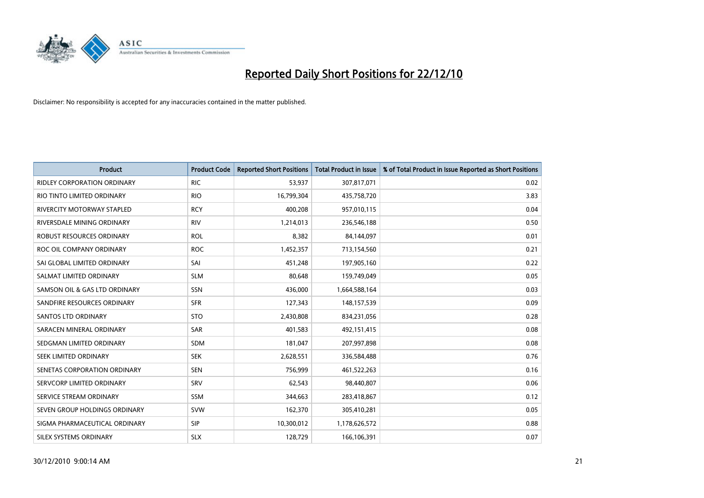

| Product                            | <b>Product Code</b> | <b>Reported Short Positions</b> | <b>Total Product in Issue</b> | % of Total Product in Issue Reported as Short Positions |
|------------------------------------|---------------------|---------------------------------|-------------------------------|---------------------------------------------------------|
| <b>RIDLEY CORPORATION ORDINARY</b> | <b>RIC</b>          | 53,937                          | 307,817,071                   | 0.02                                                    |
| RIO TINTO LIMITED ORDINARY         | <b>RIO</b>          | 16,799,304                      | 435,758,720                   | 3.83                                                    |
| RIVERCITY MOTORWAY STAPLED         | <b>RCY</b>          | 400,208                         | 957,010,115                   | 0.04                                                    |
| RIVERSDALE MINING ORDINARY         | <b>RIV</b>          | 1,214,013                       | 236,546,188                   | 0.50                                                    |
| <b>ROBUST RESOURCES ORDINARY</b>   | <b>ROL</b>          | 8,382                           | 84,144,097                    | 0.01                                                    |
| ROC OIL COMPANY ORDINARY           | <b>ROC</b>          | 1,452,357                       | 713,154,560                   | 0.21                                                    |
| SAI GLOBAL LIMITED ORDINARY        | SAI                 | 451,248                         | 197,905,160                   | 0.22                                                    |
| SALMAT LIMITED ORDINARY            | <b>SLM</b>          | 80,648                          | 159,749,049                   | 0.05                                                    |
| SAMSON OIL & GAS LTD ORDINARY      | SSN                 | 436,000                         | 1,664,588,164                 | 0.03                                                    |
| SANDFIRE RESOURCES ORDINARY        | <b>SFR</b>          | 127,343                         | 148,157,539                   | 0.09                                                    |
| SANTOS LTD ORDINARY                | <b>STO</b>          | 2,430,808                       | 834,231,056                   | 0.28                                                    |
| SARACEN MINERAL ORDINARY           | <b>SAR</b>          | 401,583                         | 492,151,415                   | 0.08                                                    |
| SEDGMAN LIMITED ORDINARY           | <b>SDM</b>          | 181,047                         | 207,997,898                   | 0.08                                                    |
| SEEK LIMITED ORDINARY              | <b>SEK</b>          | 2,628,551                       | 336,584,488                   | 0.76                                                    |
| SENETAS CORPORATION ORDINARY       | <b>SEN</b>          | 756,999                         | 461,522,263                   | 0.16                                                    |
| SERVCORP LIMITED ORDINARY          | SRV                 | 62,543                          | 98,440,807                    | 0.06                                                    |
| SERVICE STREAM ORDINARY            | SSM                 | 344,663                         | 283,418,867                   | 0.12                                                    |
| SEVEN GROUP HOLDINGS ORDINARY      | <b>SVW</b>          | 162,370                         | 305,410,281                   | 0.05                                                    |
| SIGMA PHARMACEUTICAL ORDINARY      | <b>SIP</b>          | 10,300,012                      | 1,178,626,572                 | 0.88                                                    |
| SILEX SYSTEMS ORDINARY             | <b>SLX</b>          | 128,729                         | 166,106,391                   | 0.07                                                    |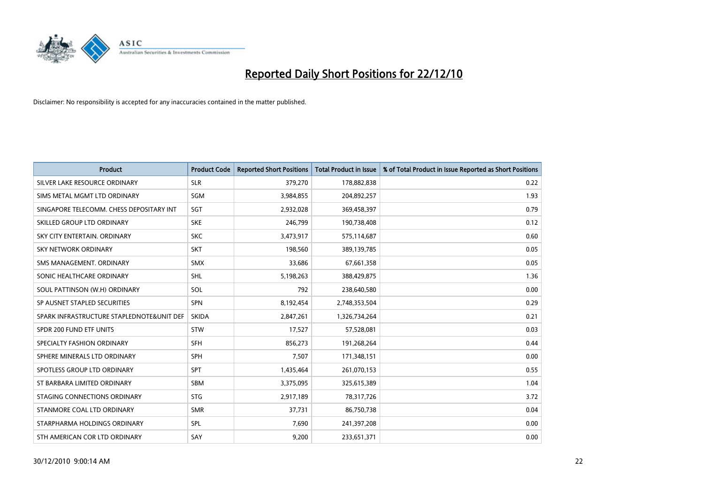

| <b>Product</b>                            | <b>Product Code</b> | <b>Reported Short Positions</b> | <b>Total Product in Issue</b> | % of Total Product in Issue Reported as Short Positions |
|-------------------------------------------|---------------------|---------------------------------|-------------------------------|---------------------------------------------------------|
| SILVER LAKE RESOURCE ORDINARY             | <b>SLR</b>          | 379,270                         | 178,882,838                   | 0.22                                                    |
| SIMS METAL MGMT LTD ORDINARY              | <b>SGM</b>          | 3,984,855                       | 204,892,257                   | 1.93                                                    |
| SINGAPORE TELECOMM. CHESS DEPOSITARY INT  | SGT                 | 2,932,028                       | 369,458,397                   | 0.79                                                    |
| SKILLED GROUP LTD ORDINARY                | <b>SKE</b>          | 246,799                         | 190,738,408                   | 0.12                                                    |
| SKY CITY ENTERTAIN, ORDINARY              | <b>SKC</b>          | 3,473,917                       | 575,114,687                   | 0.60                                                    |
| <b>SKY NETWORK ORDINARY</b>               | <b>SKT</b>          | 198,560                         | 389,139,785                   | 0.05                                                    |
| SMS MANAGEMENT, ORDINARY                  | <b>SMX</b>          | 33,686                          | 67,661,358                    | 0.05                                                    |
| SONIC HEALTHCARE ORDINARY                 | <b>SHL</b>          | 5,198,263                       | 388,429,875                   | 1.36                                                    |
| SOUL PATTINSON (W.H) ORDINARY             | SOL                 | 792                             | 238,640,580                   | 0.00                                                    |
| SP AUSNET STAPLED SECURITIES              | <b>SPN</b>          | 8,192,454                       | 2,748,353,504                 | 0.29                                                    |
| SPARK INFRASTRUCTURE STAPLEDNOTE&UNIT DEF | <b>SKIDA</b>        | 2,847,261                       | 1,326,734,264                 | 0.21                                                    |
| SPDR 200 FUND ETF UNITS                   | <b>STW</b>          | 17,527                          | 57,528,081                    | 0.03                                                    |
| SPECIALTY FASHION ORDINARY                | <b>SFH</b>          | 856,273                         | 191,268,264                   | 0.44                                                    |
| SPHERE MINERALS LTD ORDINARY              | <b>SPH</b>          | 7,507                           | 171,348,151                   | 0.00                                                    |
| SPOTLESS GROUP LTD ORDINARY               | <b>SPT</b>          | 1,435,464                       | 261,070,153                   | 0.55                                                    |
| ST BARBARA LIMITED ORDINARY               | SBM                 | 3,375,095                       | 325,615,389                   | 1.04                                                    |
| STAGING CONNECTIONS ORDINARY              | <b>STG</b>          | 2,917,189                       | 78,317,726                    | 3.72                                                    |
| STANMORE COAL LTD ORDINARY                | <b>SMR</b>          | 37,731                          | 86,750,738                    | 0.04                                                    |
| STARPHARMA HOLDINGS ORDINARY              | <b>SPL</b>          | 7,690                           | 241,397,208                   | 0.00                                                    |
| STH AMERICAN COR LTD ORDINARY             | SAY                 | 9,200                           | 233,651,371                   | 0.00                                                    |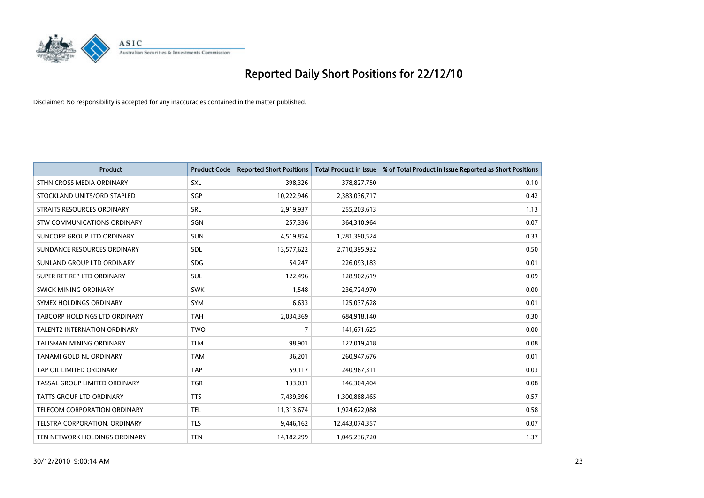

| <b>Product</b>                      | <b>Product Code</b> | <b>Reported Short Positions</b> | Total Product in Issue | % of Total Product in Issue Reported as Short Positions |
|-------------------------------------|---------------------|---------------------------------|------------------------|---------------------------------------------------------|
| STHN CROSS MEDIA ORDINARY           | SXL                 | 398,326                         | 378,827,750            | 0.10                                                    |
| STOCKLAND UNITS/ORD STAPLED         | SGP                 | 10,222,946                      | 2,383,036,717          | 0.42                                                    |
| STRAITS RESOURCES ORDINARY          | SRL                 | 2,919,937                       | 255,203,613            | 1.13                                                    |
| STW COMMUNICATIONS ORDINARY         | SGN                 | 257,336                         | 364,310,964            | 0.07                                                    |
| SUNCORP GROUP LTD ORDINARY          | <b>SUN</b>          | 4,519,854                       | 1,281,390,524          | 0.33                                                    |
| SUNDANCE RESOURCES ORDINARY         | <b>SDL</b>          | 13,577,622                      | 2,710,395,932          | 0.50                                                    |
| SUNLAND GROUP LTD ORDINARY          | <b>SDG</b>          | 54,247                          | 226,093,183            | 0.01                                                    |
| SUPER RET REP LTD ORDINARY          | SUL                 | 122,496                         | 128,902,619            | 0.09                                                    |
| SWICK MINING ORDINARY               | <b>SWK</b>          | 1,548                           | 236,724,970            | 0.00                                                    |
| SYMEX HOLDINGS ORDINARY             | <b>SYM</b>          | 6,633                           | 125,037,628            | 0.01                                                    |
| TABCORP HOLDINGS LTD ORDINARY       | <b>TAH</b>          | 2,034,369                       | 684,918,140            | 0.30                                                    |
| <b>TALENT2 INTERNATION ORDINARY</b> | <b>TWO</b>          | $\overline{7}$                  | 141,671,625            | 0.00                                                    |
| TALISMAN MINING ORDINARY            | <b>TLM</b>          | 98,901                          | 122,019,418            | 0.08                                                    |
| <b>TANAMI GOLD NL ORDINARY</b>      | <b>TAM</b>          | 36,201                          | 260,947,676            | 0.01                                                    |
| TAP OIL LIMITED ORDINARY            | <b>TAP</b>          | 59,117                          | 240,967,311            | 0.03                                                    |
| TASSAL GROUP LIMITED ORDINARY       | <b>TGR</b>          | 133,031                         | 146,304,404            | 0.08                                                    |
| TATTS GROUP LTD ORDINARY            | <b>TTS</b>          | 7,439,396                       | 1,300,888,465          | 0.57                                                    |
| TELECOM CORPORATION ORDINARY        | <b>TEL</b>          | 11,313,674                      | 1,924,622,088          | 0.58                                                    |
| TELSTRA CORPORATION, ORDINARY       | <b>TLS</b>          | 9,446,162                       | 12,443,074,357         | 0.07                                                    |
| TEN NETWORK HOLDINGS ORDINARY       | <b>TEN</b>          | 14,182,299                      | 1,045,236,720          | 1.37                                                    |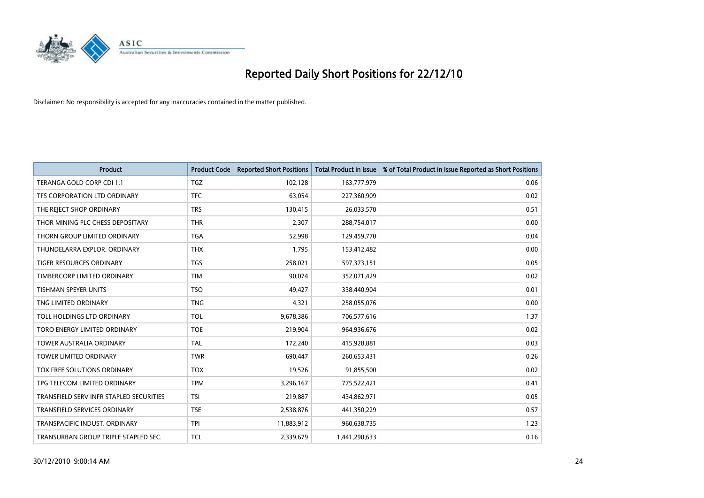

| Product                                 | <b>Product Code</b> | <b>Reported Short Positions</b> | <b>Total Product in Issue</b> | % of Total Product in Issue Reported as Short Positions |
|-----------------------------------------|---------------------|---------------------------------|-------------------------------|---------------------------------------------------------|
| TERANGA GOLD CORP CDI 1:1               | <b>TGZ</b>          | 102,128                         | 163,777,979                   | 0.06                                                    |
| TFS CORPORATION LTD ORDINARY            | <b>TFC</b>          | 63,054                          | 227,360,909                   | 0.02                                                    |
| THE REJECT SHOP ORDINARY                | <b>TRS</b>          | 130,415                         | 26,033,570                    | 0.51                                                    |
| THOR MINING PLC CHESS DEPOSITARY        | <b>THR</b>          | 2,307                           | 288,754,017                   | 0.00                                                    |
| THORN GROUP LIMITED ORDINARY            | <b>TGA</b>          | 52,998                          | 129,459,770                   | 0.04                                                    |
| THUNDELARRA EXPLOR. ORDINARY            | <b>THX</b>          | 1,795                           | 153,412,482                   | 0.00                                                    |
| <b>TIGER RESOURCES ORDINARY</b>         | <b>TGS</b>          | 258,021                         | 597,373,151                   | 0.05                                                    |
| TIMBERCORP LIMITED ORDINARY             | <b>TIM</b>          | 90,074                          | 352,071,429                   | 0.02                                                    |
| <b>TISHMAN SPEYER UNITS</b>             | <b>TSO</b>          | 49,427                          | 338,440,904                   | 0.01                                                    |
| TNG LIMITED ORDINARY                    | <b>TNG</b>          | 4,321                           | 258,055,076                   | 0.00                                                    |
| TOLL HOLDINGS LTD ORDINARY              | <b>TOL</b>          | 9,678,386                       | 706,577,616                   | 1.37                                                    |
| TORO ENERGY LIMITED ORDINARY            | <b>TOE</b>          | 219,904                         | 964,936,676                   | 0.02                                                    |
| TOWER AUSTRALIA ORDINARY                | <b>TAL</b>          | 172,240                         | 415,928,881                   | 0.03                                                    |
| <b>TOWER LIMITED ORDINARY</b>           | <b>TWR</b>          | 690,447                         | 260,653,431                   | 0.26                                                    |
| TOX FREE SOLUTIONS ORDINARY             | <b>TOX</b>          | 19,526                          | 91,855,500                    | 0.02                                                    |
| TPG TELECOM LIMITED ORDINARY            | <b>TPM</b>          | 3,296,167                       | 775,522,421                   | 0.41                                                    |
| TRANSFIELD SERV INFR STAPLED SECURITIES | <b>TSI</b>          | 219,887                         | 434,862,971                   | 0.05                                                    |
| <b>TRANSFIELD SERVICES ORDINARY</b>     | <b>TSE</b>          | 2,538,876                       | 441,350,229                   | 0.57                                                    |
| TRANSPACIFIC INDUST, ORDINARY           | <b>TPI</b>          | 11,883,912                      | 960,638,735                   | 1.23                                                    |
| TRANSURBAN GROUP TRIPLE STAPLED SEC.    | <b>TCL</b>          | 2,339,679                       | 1,441,290,633                 | 0.16                                                    |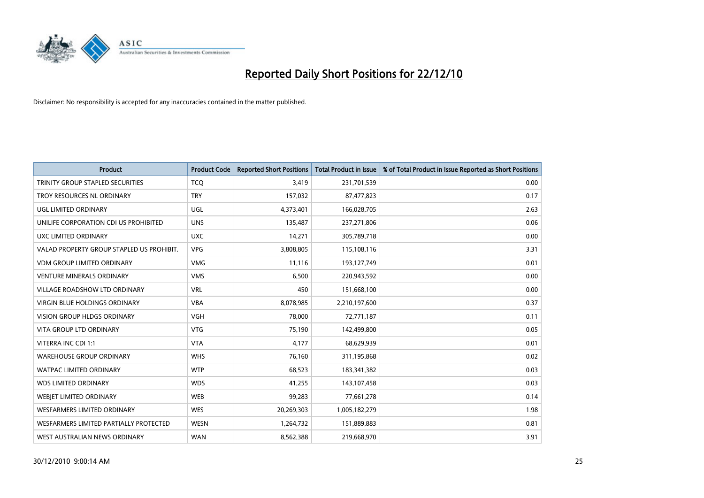

| <b>Product</b>                            | <b>Product Code</b> | <b>Reported Short Positions</b> | <b>Total Product in Issue</b> | % of Total Product in Issue Reported as Short Positions |
|-------------------------------------------|---------------------|---------------------------------|-------------------------------|---------------------------------------------------------|
| TRINITY GROUP STAPLED SECURITIES          | <b>TCQ</b>          | 3,419                           | 231,701,539                   | 0.00                                                    |
| TROY RESOURCES NL ORDINARY                | <b>TRY</b>          | 157,032                         | 87,477,823                    | 0.17                                                    |
| <b>UGL LIMITED ORDINARY</b>               | <b>UGL</b>          | 4,373,401                       | 166,028,705                   | 2.63                                                    |
| UNILIFE CORPORATION CDI US PROHIBITED     | <b>UNS</b>          | 135,487                         | 237,271,806                   | 0.06                                                    |
| UXC LIMITED ORDINARY                      | <b>UXC</b>          | 14,271                          | 305,789,718                   | 0.00                                                    |
| VALAD PROPERTY GROUP STAPLED US PROHIBIT. | <b>VPG</b>          | 3,808,805                       | 115,108,116                   | 3.31                                                    |
| <b>VDM GROUP LIMITED ORDINARY</b>         | <b>VMG</b>          | 11,116                          | 193,127,749                   | 0.01                                                    |
| VENTURE MINERALS ORDINARY                 | <b>VMS</b>          | 6,500                           | 220,943,592                   | 0.00                                                    |
| <b>VILLAGE ROADSHOW LTD ORDINARY</b>      | <b>VRL</b>          | 450                             | 151,668,100                   | 0.00                                                    |
| <b>VIRGIN BLUE HOLDINGS ORDINARY</b>      | <b>VBA</b>          | 8,078,985                       | 2,210,197,600                 | 0.37                                                    |
| VISION GROUP HLDGS ORDINARY               | <b>VGH</b>          | 78,000                          | 72,771,187                    | 0.11                                                    |
| <b>VITA GROUP LTD ORDINARY</b>            | <b>VTG</b>          | 75,190                          | 142,499,800                   | 0.05                                                    |
| VITERRA INC CDI 1:1                       | <b>VTA</b>          | 4,177                           | 68,629,939                    | 0.01                                                    |
| <b>WAREHOUSE GROUP ORDINARY</b>           | <b>WHS</b>          | 76,160                          | 311,195,868                   | 0.02                                                    |
| <b>WATPAC LIMITED ORDINARY</b>            | <b>WTP</b>          | 68,523                          | 183,341,382                   | 0.03                                                    |
| <b>WDS LIMITED ORDINARY</b>               | <b>WDS</b>          | 41,255                          | 143,107,458                   | 0.03                                                    |
| WEBIET LIMITED ORDINARY                   | <b>WEB</b>          | 99,283                          | 77,661,278                    | 0.14                                                    |
| <b>WESFARMERS LIMITED ORDINARY</b>        | <b>WES</b>          | 20,269,303                      | 1,005,182,279                 | 1.98                                                    |
| WESFARMERS LIMITED PARTIALLY PROTECTED    | <b>WESN</b>         | 1,264,732                       | 151,889,883                   | 0.81                                                    |
| WEST AUSTRALIAN NEWS ORDINARY             | <b>WAN</b>          | 8,562,388                       | 219,668,970                   | 3.91                                                    |